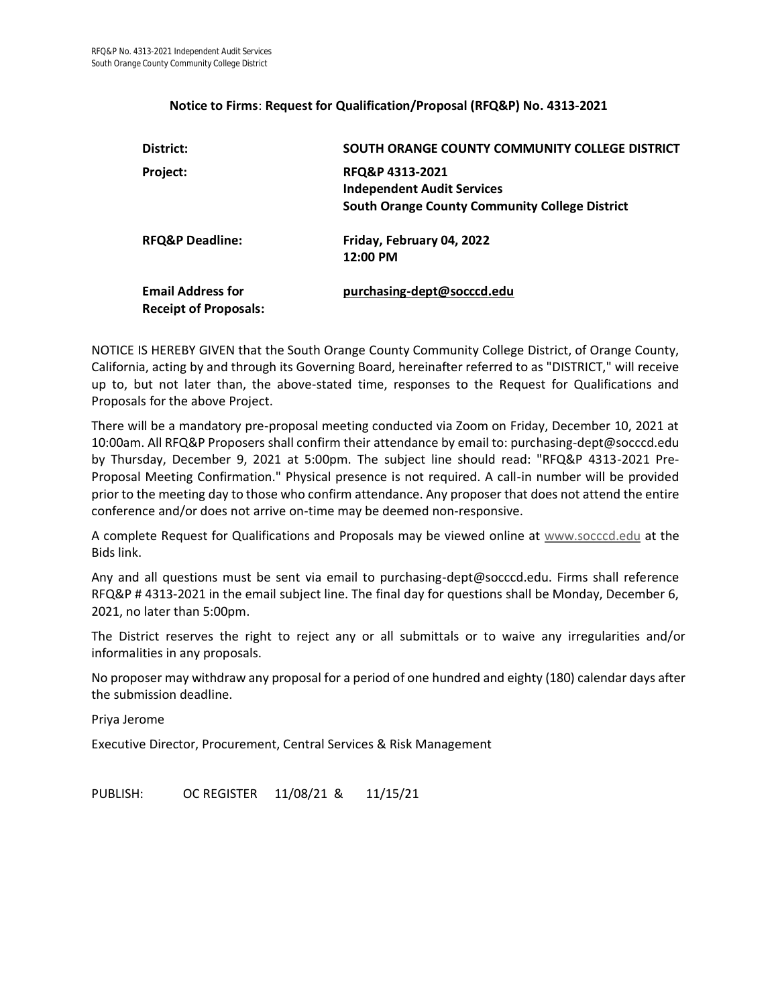#### **Notice to Firms**: **Request for Qualification/Proposal (RFQ&P) No. 4313-2021**

| District:                                                | SOUTH ORANGE COUNTY COMMUNITY COLLEGE DISTRICT                                                                |
|----------------------------------------------------------|---------------------------------------------------------------------------------------------------------------|
| Project:                                                 | RFQ&P 4313-2021<br><b>Independent Audit Services</b><br><b>South Orange County Community College District</b> |
| <b>RFQ&amp;P Deadline:</b>                               | Friday, February 04, 2022<br>$12:00$ PM                                                                       |
| <b>Email Address for</b><br><b>Receipt of Proposals:</b> | purchasing-dept@socccd.edu                                                                                    |

NOTICE IS HEREBY GIVEN that the South Orange County Community College District, of Orange County, California, acting by and through its Governing Board, hereinafter referred to as "DISTRICT," will receive up to, but not later than, the above-stated time, responses to the Request for Qualifications and Proposals for the above Project.

There will be a mandatory pre-proposal meeting conducted via Zoom on Friday, December 10, 2021 at 10:00am. All RFQ&P Proposers shall confirm their attendance by email to: purchasing-dept@socccd.edu by Thursday, December 9, 2021 at 5:00pm. The subject line should read: "RFQ&P 4313-2021 Pre-Proposal Meeting Confirmation." Physical presence is not required. A call-in number will be provided prior to the meeting day to those who confirm attendance. Any proposer that does not attend the entire conference and/or does not arrive on-time may be deemed non-responsive.

A complete Request for Qualifications and Proposals may be viewed online at [www.socccd.edu](http://www.socccd.edu/) at the Bids link.

Any and all questions must be sent via email to purchasing-dept@socccd.edu. Firms shall reference RFQ&P # 4313-2021 in the email subject line. The final day for questions shall be Monday, December 6, 2021, no later than 5:00pm.

The District reserves the right to reject any or all submittals or to waive any irregularities and/or informalities in any proposals.

No proposer may withdraw any proposal for a period of one hundred and eighty (180) calendar days after the submission deadline.

Priya Jerome

Executive Director, Procurement, Central Services & Risk Management

PUBLISH: OC REGISTER 11/08/21 & 11/15/21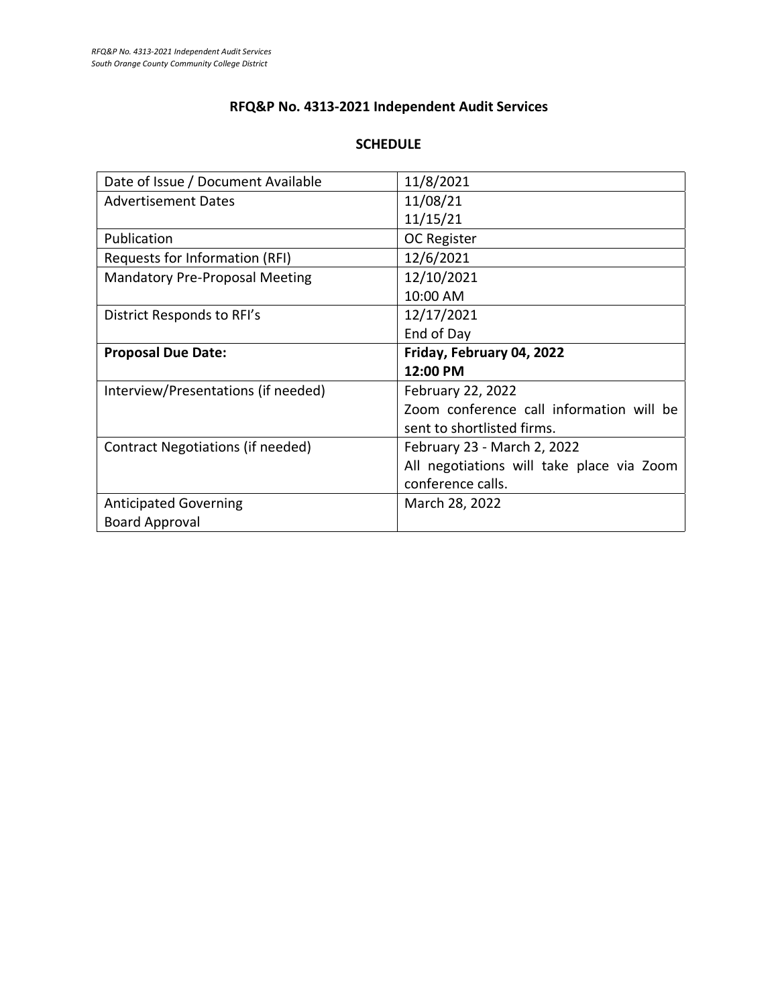## **RFQ&P No. 4313-2021 Independent Audit Services**

### **SCHEDULE**

| Date of Issue / Document Available    | 11/8/2021                                 |
|---------------------------------------|-------------------------------------------|
| <b>Advertisement Dates</b>            | 11/08/21                                  |
|                                       | 11/15/21                                  |
| Publication                           | <b>OC Register</b>                        |
| Requests for Information (RFI)        | 12/6/2021                                 |
| <b>Mandatory Pre-Proposal Meeting</b> | 12/10/2021                                |
|                                       | 10:00 AM                                  |
| District Responds to RFI's            | 12/17/2021                                |
|                                       | End of Day                                |
| <b>Proposal Due Date:</b>             | Friday, February 04, 2022                 |
|                                       |                                           |
|                                       | 12:00 PM                                  |
| Interview/Presentations (if needed)   | February 22, 2022                         |
|                                       | Zoom conference call information will be  |
|                                       | sent to shortlisted firms.                |
| Contract Negotiations (if needed)     | February 23 - March 2, 2022               |
|                                       | All negotiations will take place via Zoom |
|                                       | conference calls.                         |
| <b>Anticipated Governing</b>          | March 28, 2022                            |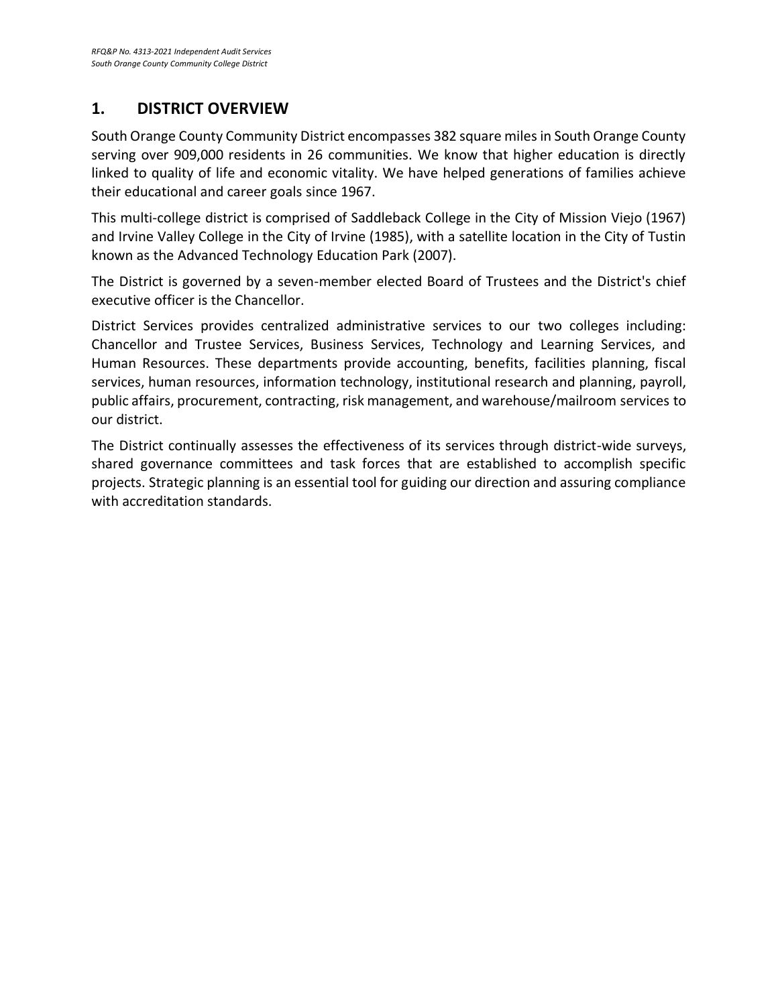## **1. DISTRICT OVERVIEW**

South Orange County Community District encompasses 382 square miles in South Orange County serving over 909,000 residents in 26 communities. We know that higher education is directly linked to quality of life and economic vitality. We have helped generations of families achieve their educational and career goals since 1967.

This multi-college district is comprised of Saddleback College in the City of Mission Viejo (1967) and Irvine Valley College in the City of Irvine (1985), with a satellite location in the City of Tustin known as the Advanced Technology Education Park (2007).

The District is governed by a seven-member elected Board of Trustees and the District's chief executive officer is the Chancellor.

District Services provides centralized administrative services to our two colleges including: Chancellor and Trustee Services, Business Services, Technology and Learning Services, and Human Resources. These departments provide accounting, benefits, facilities planning, fiscal services, human resources, information technology, institutional research and planning, payroll, public affairs, procurement, contracting, risk management, and warehouse/mailroom services to our district.

The District continually assesses the effectiveness of its services through district-wide surveys, shared governance committees and task forces that are established to accomplish specific projects. Strategic planning is an essential tool for guiding our direction and assuring compliance with accreditation standards.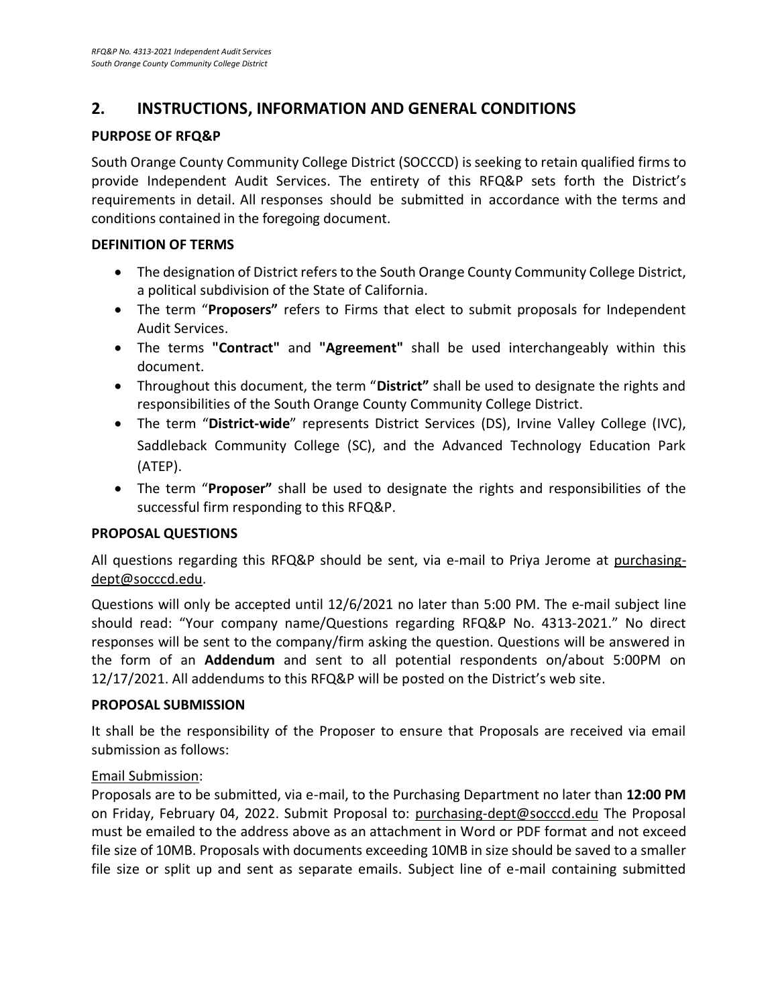## **2. INSTRUCTIONS, INFORMATION AND GENERAL CONDITIONS**

#### **PURPOSE OF RFQ&P**

South Orange County Community College District (SOCCCD) is seeking to retain qualified firms to provide Independent Audit Services. The entirety of this RFQ&P sets forth the District's requirements in detail. All responses should be submitted in accordance with the terms and conditions contained in the foregoing document.

#### **DEFINITION OF TERMS**

- The designation of District refers to the South Orange County Community College District, a political subdivision of the State of California.
- The term "**Proposers"** refers to Firms that elect to submit proposals for Independent Audit Services.
- The terms **"Contract"** and **"Agreement"** shall be used interchangeably within this document.
- Throughout this document, the term "**District"** shall be used to designate the rights and responsibilities of the South Orange County Community College District.
- The term "**District-wide**" represents District Services (DS), Irvine Valley College (IVC), Saddleback Community College (SC), and the Advanced Technology Education Park (ATEP).
- The term "**Proposer"** shall be used to designate the rights and responsibilities of the successful firm responding to this RFQ&P.

#### **PROPOSAL QUESTIONS**

All questions regarding this RFQ&P should be sent, via e-mail to Priya Jerome at purchasingdept@socccd.edu.

Questions will only be accepted until 12/6/2021 no later than 5:00 PM. The e-mail subject line should read: "Your company name/Questions regarding RFQ&P No. 4313-2021." No direct responses will be sent to the company/firm asking the question. Questions will be answered in the form of an **Addendum** and sent to all potential respondents on/about 5:00PM on 12/17/2021. All addendums to this RFQ&P will be posted on the District's web site.

#### **PROPOSAL SUBMISSION**

It shall be the responsibility of the Proposer to ensure that Proposals are received via email submission as follows:

#### Email Submission:

Proposals are to be submitted, via e-mail, to the Purchasing Department no later than **12:00 PM** on Friday, February 04, 2022. Submit Proposal to: [purchasing-dept@socccd.edu](mailto:purchasing-dept@socccd.edu) The Proposal must be emailed to the address above as an attachment in Word or PDF format and not exceed file size of 10MB. Proposals with documents exceeding 10MB in size should be saved to a smaller file size or split up and sent as separate emails. Subject line of e-mail containing submitted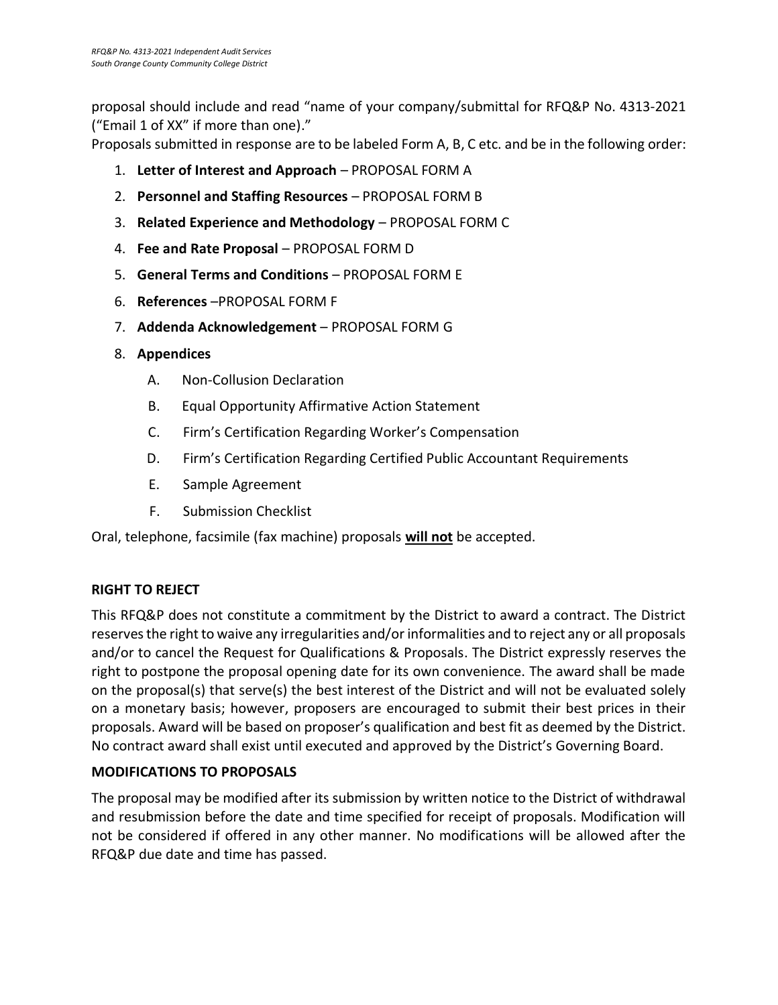proposal should include and read "name of your company/submittal for RFQ&P No. 4313-2021 ("Email 1 of XX" if more than one)."

Proposals submitted in response are to be labeled Form A, B, C etc. and be in the following order:

- 1. **Letter of Interest and Approach** PROPOSAL FORM A
- 2. **Personnel and Staffing Resources** PROPOSAL FORM B
- 3. **Related Experience and Methodology** PROPOSAL FORM C
- 4. **Fee and Rate Proposal** PROPOSAL FORM D
- 5. **General Terms and Conditions** PROPOSAL FORM E
- 6. **References** –PROPOSAL FORM F
- 7. **Addenda Acknowledgement** PROPOSAL FORM G
- 8. **Appendices**
	- A. Non-Collusion Declaration
	- B. Equal Opportunity Affirmative Action Statement
	- C. Firm's Certification Regarding Worker's Compensation
	- D. Firm's Certification Regarding Certified Public Accountant Requirements
	- E. Sample Agreement
	- F. Submission Checklist

Oral, telephone, facsimile (fax machine) proposals **will not** be accepted.

#### **RIGHT TO REJECT**

This RFQ&P does not constitute a commitment by the District to award a contract. The District reserves the right to waive any irregularities and/or informalities and to reject any or all proposals and/or to cancel the Request for Qualifications & Proposals. The District expressly reserves the right to postpone the proposal opening date for its own convenience. The award shall be made on the proposal(s) that serve(s) the best interest of the District and will not be evaluated solely on a monetary basis; however, proposers are encouraged to submit their best prices in their proposals. Award will be based on proposer's qualification and best fit as deemed by the District. No contract award shall exist until executed and approved by the District's Governing Board.

#### **MODIFICATIONS TO PROPOSALS**

The proposal may be modified after its submission by written notice to the District of withdrawal and resubmission before the date and time specified for receipt of proposals. Modification will not be considered if offered in any other manner. No modifications will be allowed after the RFQ&P due date and time has passed.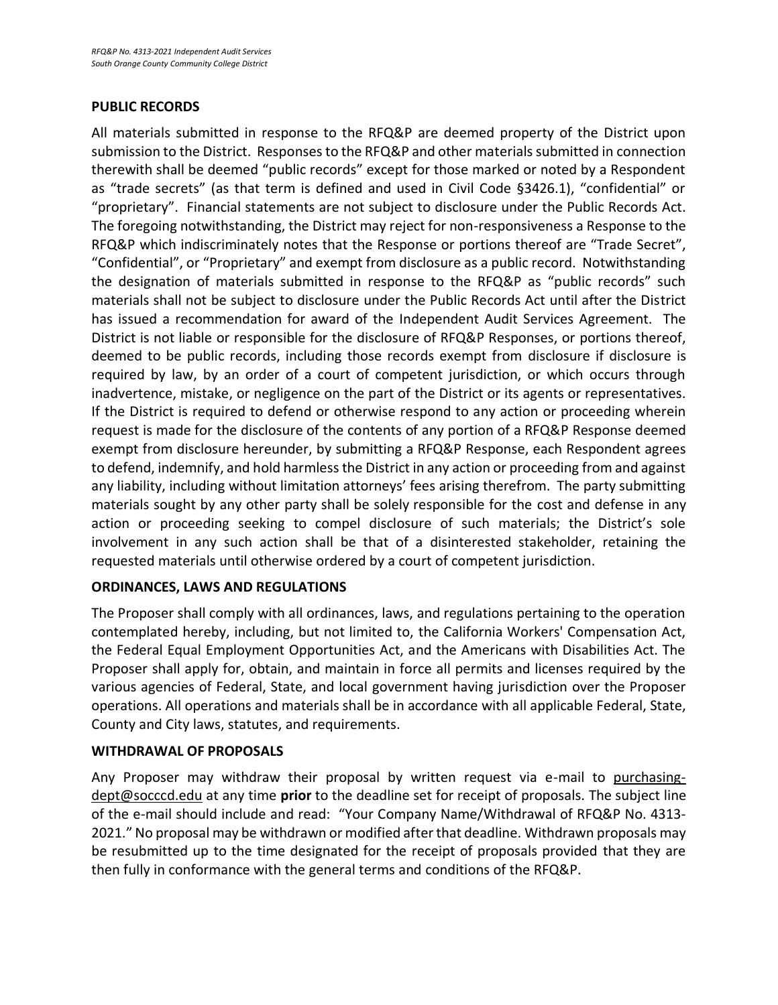#### **PUBLIC RECORDS**

All materials submitted in response to the RFQ&P are deemed property of the District upon submission to the District. Responses to the RFQ&P and other materials submitted in connection therewith shall be deemed "public records" except for those marked or noted by a Respondent as "trade secrets" (as that term is defined and used in Civil Code §3426.1), "confidential" or "proprietary". Financial statements are not subject to disclosure under the Public Records Act. The foregoing notwithstanding, the District may reject for non-responsiveness a Response to the RFQ&P which indiscriminately notes that the Response or portions thereof are "Trade Secret", "Confidential", or "Proprietary" and exempt from disclosure as a public record. Notwithstanding the designation of materials submitted in response to the RFQ&P as "public records" such materials shall not be subject to disclosure under the Public Records Act until after the District has issued a recommendation for award of the Independent Audit Services Agreement. The District is not liable or responsible for the disclosure of RFQ&P Responses, or portions thereof, deemed to be public records, including those records exempt from disclosure if disclosure is required by law, by an order of a court of competent jurisdiction, or which occurs through inadvertence, mistake, or negligence on the part of the District or its agents or representatives. If the District is required to defend or otherwise respond to any action or proceeding wherein request is made for the disclosure of the contents of any portion of a RFQ&P Response deemed exempt from disclosure hereunder, by submitting a RFQ&P Response, each Respondent agrees to defend, indemnify, and hold harmless the District in any action or proceeding from and against any liability, including without limitation attorneys' fees arising therefrom. The party submitting materials sought by any other party shall be solely responsible for the cost and defense in any action or proceeding seeking to compel disclosure of such materials; the District's sole involvement in any such action shall be that of a disinterested stakeholder, retaining the requested materials until otherwise ordered by a court of competent jurisdiction.

#### **ORDINANCES, LAWS AND REGULATIONS**

The Proposer shall comply with all ordinances, laws, and regulations pertaining to the operation contemplated hereby, including, but not limited to, the California Workers' Compensation Act, the Federal Equal Employment Opportunities Act, and the Americans with Disabilities Act. The Proposer shall apply for, obtain, and maintain in force all permits and licenses required by the various agencies of Federal, State, and local government having jurisdiction over the Proposer operations. All operations and materials shall be in accordance with all applicable Federal, State, County and City laws, statutes, and requirements.

#### **WITHDRAWAL OF PROPOSALS**

Any Proposer may withdraw their proposal by written request via e-mail to purchasingdept@socccd.edu at any time **prior** to the deadline set for receipt of proposals. The subject line of the e-mail should include and read: "Your Company Name/Withdrawal of RFQ&P No. 4313- 2021." No proposal may be withdrawn or modified after that deadline. Withdrawn proposals may be resubmitted up to the time designated for the receipt of proposals provided that they are then fully in conformance with the general terms and conditions of the RFQ&P.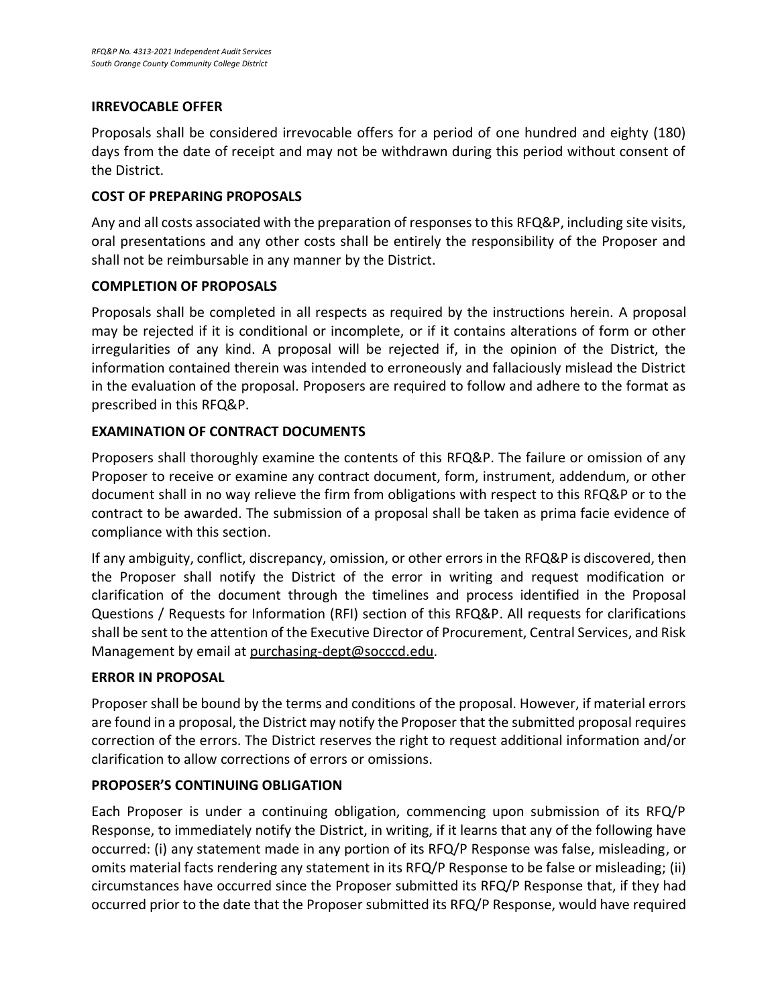#### **IRREVOCABLE OFFER**

Proposals shall be considered irrevocable offers for a period of one hundred and eighty (180) days from the date of receipt and may not be withdrawn during this period without consent of the District.

#### **COST OF PREPARING PROPOSALS**

Any and all costs associated with the preparation of responses to this RFQ&P, including site visits, oral presentations and any other costs shall be entirely the responsibility of the Proposer and shall not be reimbursable in any manner by the District.

#### **COMPLETION OF PROPOSALS**

Proposals shall be completed in all respects as required by the instructions herein. A proposal may be rejected if it is conditional or incomplete, or if it contains alterations of form or other irregularities of any kind. A proposal will be rejected if, in the opinion of the District, the information contained therein was intended to erroneously and fallaciously mislead the District in the evaluation of the proposal. Proposers are required to follow and adhere to the format as prescribed in this RFQ&P.

#### **EXAMINATION OF CONTRACT DOCUMENTS**

Proposers shall thoroughly examine the contents of this RFQ&P. The failure or omission of any Proposer to receive or examine any contract document, form, instrument, addendum, or other document shall in no way relieve the firm from obligations with respect to this RFQ&P or to the contract to be awarded. The submission of a proposal shall be taken as prima facie evidence of compliance with this section.

If any ambiguity, conflict, discrepancy, omission, or other errors in the RFQ&P is discovered, then the Proposer shall notify the District of the error in writing and request modification or clarification of the document through the timelines and process identified in the Proposal Questions / Requests for Information (RFI) section of this RFQ&P. All requests for clarifications shall be sent to the attention of the Executive Director of Procurement, Central Services, and Risk Management by email a[t purchasing-dept@socccd.edu.](mailto:purchasing-dept@socccd.edu)

#### **ERROR IN PROPOSAL**

Proposer shall be bound by the terms and conditions of the proposal. However, if material errors are found in a proposal, the District may notify the Proposer that the submitted proposal requires correction of the errors. The District reserves the right to request additional information and/or clarification to allow corrections of errors or omissions.

#### **PROPOSER'S CONTINUING OBLIGATION**

Each Proposer is under a continuing obligation, commencing upon submission of its RFQ/P Response, to immediately notify the District, in writing, if it learns that any of the following have occurred: (i) any statement made in any portion of its RFQ/P Response was false, misleading, or omits material facts rendering any statement in its RFQ/P Response to be false or misleading; (ii) circumstances have occurred since the Proposer submitted its RFQ/P Response that, if they had occurred prior to the date that the Proposer submitted its RFQ/P Response, would have required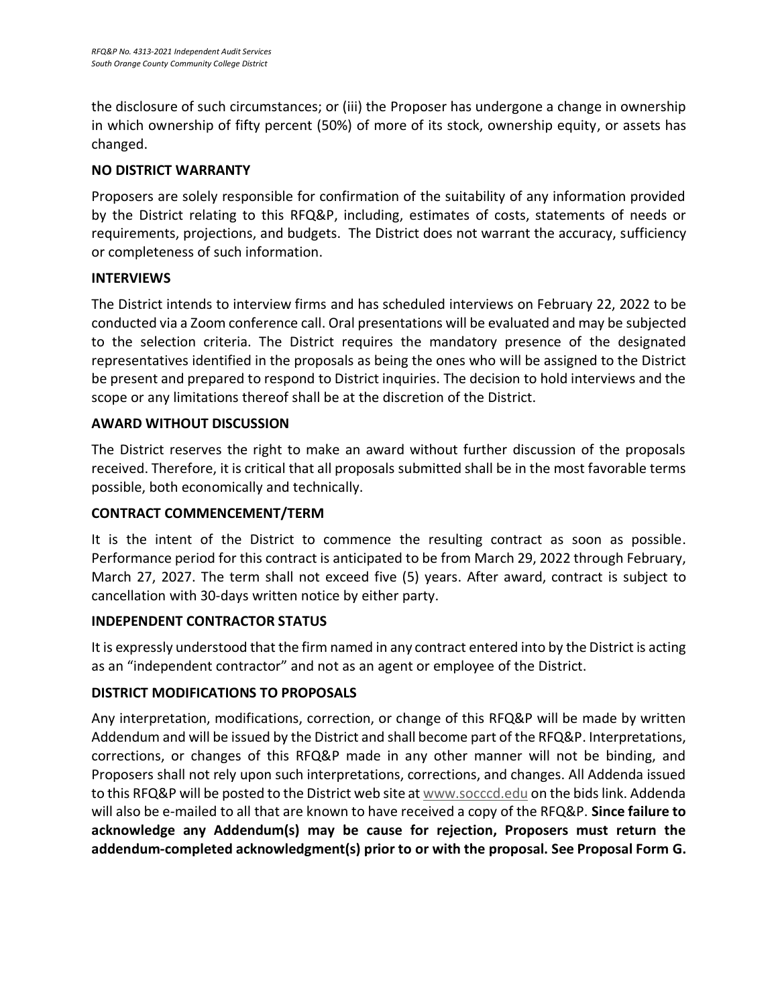the disclosure of such circumstances; or (iii) the Proposer has undergone a change in ownership in which ownership of fifty percent (50%) of more of its stock, ownership equity, or assets has changed.

### **NO DISTRICT WARRANTY**

Proposers are solely responsible for confirmation of the suitability of any information provided by the District relating to this RFQ&P, including, estimates of costs, statements of needs or requirements, projections, and budgets. The District does not warrant the accuracy, sufficiency or completeness of such information.

#### **INTERVIEWS**

The District intends to interview firms and has scheduled interviews on February 22, 2022 to be conducted via a Zoom conference call. Oral presentations will be evaluated and may be subjected to the selection criteria. The District requires the mandatory presence of the designated representatives identified in the proposals as being the ones who will be assigned to the District be present and prepared to respond to District inquiries. The decision to hold interviews and the scope or any limitations thereof shall be at the discretion of the District.

### **AWARD WITHOUT DISCUSSION**

The District reserves the right to make an award without further discussion of the proposals received. Therefore, it is critical that all proposals submitted shall be in the most favorable terms possible, both economically and technically.

#### **CONTRACT COMMENCEMENT/TERM**

It is the intent of the District to commence the resulting contract as soon as possible. Performance period for this contract is anticipated to be from March 29, 2022 through February, March 27, 2027. The term shall not exceed five (5) years. After award, contract is subject to cancellation with 30-days written notice by either party.

#### **INDEPENDENT CONTRACTOR STATUS**

It is expressly understood that the firm named in any contract entered into by the District is acting as an "independent contractor" and not as an agent or employee of the District.

#### **DISTRICT MODIFICATIONS TO PROPOSALS**

Any interpretation, modifications, correction, or change of this RFQ&P will be made by written Addendum and will be issued by the District and shall become part of the RFQ&P. Interpretations, corrections, or changes of this RFQ&P made in any other manner will not be binding, and Proposers shall not rely upon such interpretations, corrections, and changes. All Addenda issued to this RFQ&P will be posted to the District web site at [www.socccd.edu](http://www.socccd.edu/) on the bids link. Addenda will also be e-mailed to all that are known to have received a copy of the RFQ&P. **Since failure to acknowledge any Addendum(s) may be cause for rejection, Proposers must return the addendum-completed acknowledgment(s) prior to or with the proposal. See Proposal Form G.**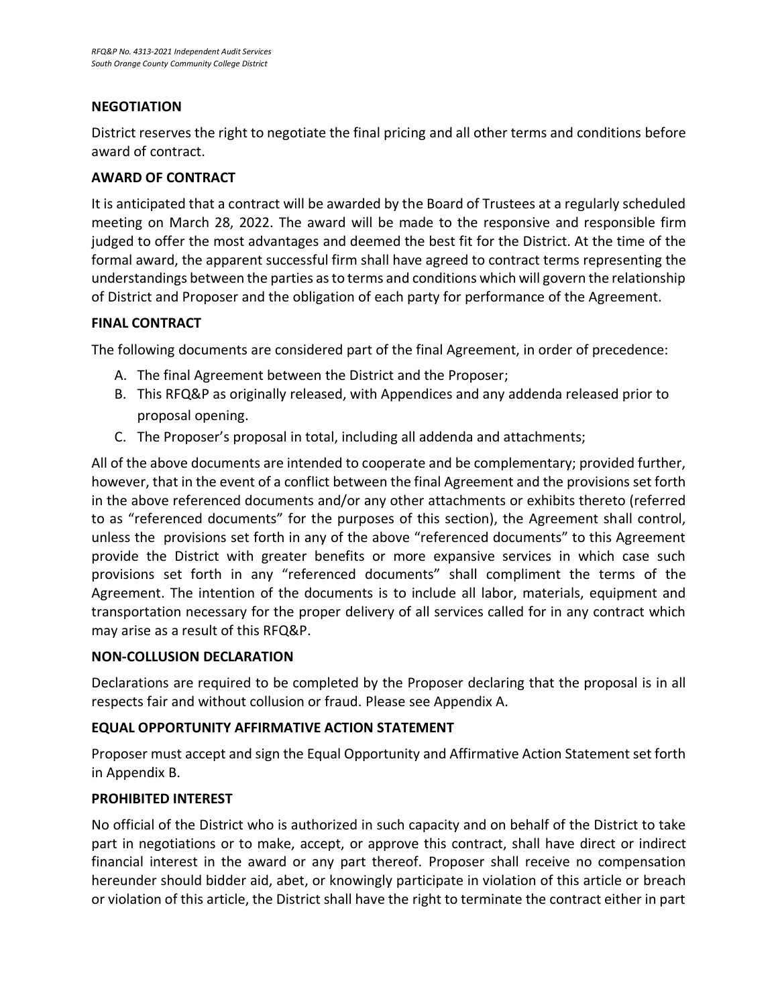#### **NEGOTIATION**

District reserves the right to negotiate the final pricing and all other terms and conditions before award of contract.

#### **AWARD OF CONTRACT**

It is anticipated that a contract will be awarded by the Board of Trustees at a regularly scheduled meeting on March 28, 2022. The award will be made to the responsive and responsible firm judged to offer the most advantages and deemed the best fit for the District. At the time of the formal award, the apparent successful firm shall have agreed to contract terms representing the understandings between the parties as to terms and conditions which will govern the relationship of District and Proposer and the obligation of each party for performance of the Agreement.

#### **FINAL CONTRACT**

The following documents are considered part of the final Agreement, in order of precedence:

- A. The final Agreement between the District and the Proposer;
- B. This RFQ&P as originally released, with Appendices and any addenda released prior to proposal opening.
- C. The Proposer's proposal in total, including all addenda and attachments;

All of the above documents are intended to cooperate and be complementary; provided further, however, that in the event of a conflict between the final Agreement and the provisions set forth in the above referenced documents and/or any other attachments or exhibits thereto (referred to as "referenced documents" for the purposes of this section), the Agreement shall control, unless the provisions set forth in any of the above "referenced documents" to this Agreement provide the District with greater benefits or more expansive services in which case such provisions set forth in any "referenced documents" shall compliment the terms of the Agreement. The intention of the documents is to include all labor, materials, equipment and transportation necessary for the proper delivery of all services called for in any contract which may arise as a result of this RFQ&P.

#### **NON-COLLUSION DECLARATION**

Declarations are required to be completed by the Proposer declaring that the proposal is in all respects fair and without collusion or fraud. Please see Appendix A.

#### **EQUAL OPPORTUNITY AFFIRMATIVE ACTION STATEMENT**

Proposer must accept and sign the Equal Opportunity and Affirmative Action Statement set forth in Appendix B.

#### **PROHIBITED INTEREST**

No official of the District who is authorized in such capacity and on behalf of the District to take part in negotiations or to make, accept, or approve this contract, shall have direct or indirect financial interest in the award or any part thereof. Proposer shall receive no compensation hereunder should bidder aid, abet, or knowingly participate in violation of this article or breach or violation of this article, the District shall have the right to terminate the contract either in part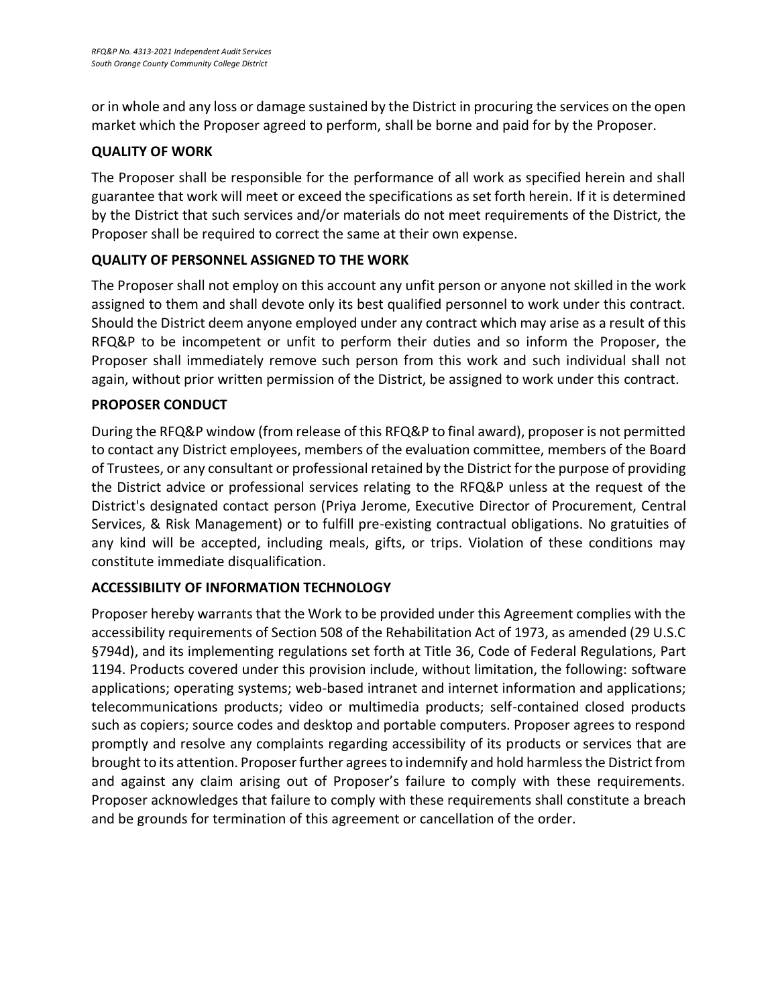or in whole and any loss or damage sustained by the District in procuring the services on the open market which the Proposer agreed to perform, shall be borne and paid for by the Proposer.

### **QUALITY OF WORK**

The Proposer shall be responsible for the performance of all work as specified herein and shall guarantee that work will meet or exceed the specifications as set forth herein. If it is determined by the District that such services and/or materials do not meet requirements of the District, the Proposer shall be required to correct the same at their own expense.

### **QUALITY OF PERSONNEL ASSIGNED TO THE WORK**

The Proposer shall not employ on this account any unfit person or anyone not skilled in the work assigned to them and shall devote only its best qualified personnel to work under this contract. Should the District deem anyone employed under any contract which may arise as a result of this RFQ&P to be incompetent or unfit to perform their duties and so inform the Proposer, the Proposer shall immediately remove such person from this work and such individual shall not again, without prior written permission of the District, be assigned to work under this contract.

### **PROPOSER CONDUCT**

During the RFQ&P window (from release of this RFQ&P to final award), proposer is not permitted to contact any District employees, members of the evaluation committee, members of the Board of Trustees, or any consultant or professional retained by the District for the purpose of providing the District advice or professional services relating to the RFQ&P unless at the request of the District's designated contact person (Priya Jerome, Executive Director of Procurement, Central Services, & Risk Management) or to fulfill pre-existing contractual obligations. No gratuities of any kind will be accepted, including meals, gifts, or trips. Violation of these conditions may constitute immediate disqualification.

#### **ACCESSIBILITY OF INFORMATION TECHNOLOGY**

Proposer hereby warrants that the Work to be provided under this Agreement complies with the accessibility requirements of Section 508 of the Rehabilitation Act of 1973, as amended (29 U.S.C §794d), and its implementing regulations set forth at Title 36, Code of Federal Regulations, Part 1194. Products covered under this provision include, without limitation, the following: software applications; operating systems; web-based intranet and internet information and applications; telecommunications products; video or multimedia products; self-contained closed products such as copiers; source codes and desktop and portable computers. Proposer agrees to respond promptly and resolve any complaints regarding accessibility of its products or services that are brought to its attention. Proposer further agrees to indemnify and hold harmless the District from and against any claim arising out of Proposer's failure to comply with these requirements. Proposer acknowledges that failure to comply with these requirements shall constitute a breach and be grounds for termination of this agreement or cancellation of the order.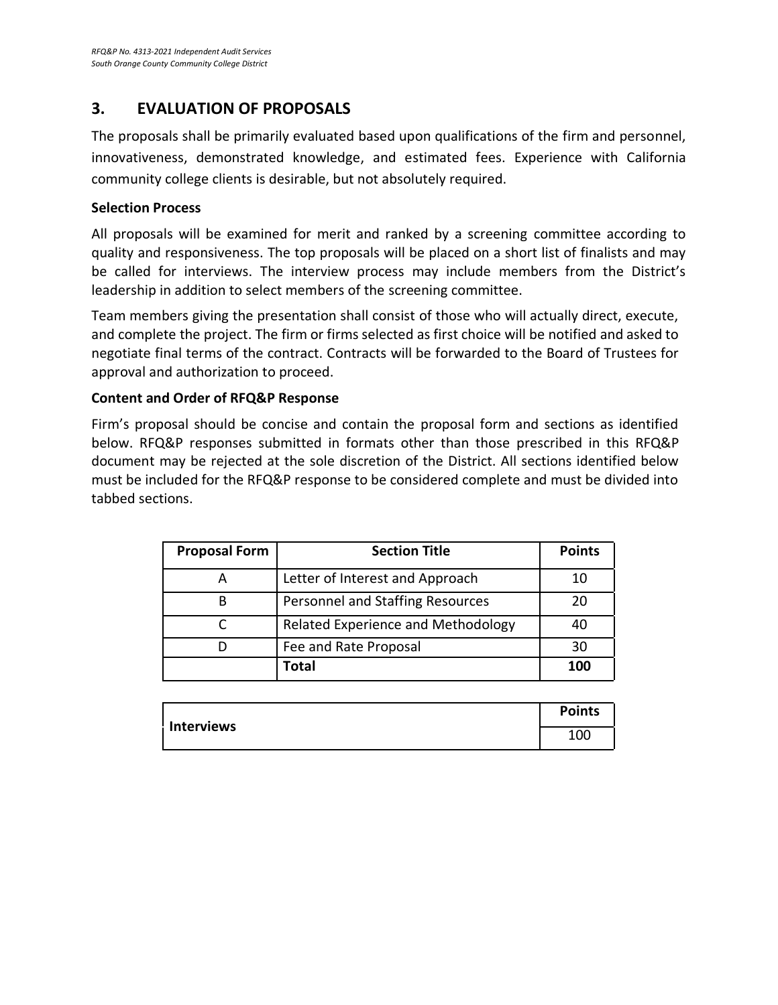## **3. EVALUATION OF PROPOSALS**

The proposals shall be primarily evaluated based upon qualifications of the firm and personnel, innovativeness, demonstrated knowledge, and estimated fees. Experience with California community college clients is desirable, but not absolutely required.

#### **Selection Process**

All proposals will be examined for merit and ranked by a screening committee according to quality and responsiveness. The top proposals will be placed on a short list of finalists and may be called for interviews. The interview process may include members from the District's leadership in addition to select members of the screening committee.

Team members giving the presentation shall consist of those who will actually direct, execute, and complete the project. The firm or firms selected as first choice will be notified and asked to negotiate final terms of the contract. Contracts will be forwarded to the Board of Trustees for approval and authorization to proceed.

#### **Content and Order of RFQ&P Response**

Firm's proposal should be concise and contain the proposal form and sections as identified below. RFQ&P responses submitted in formats other than those prescribed in this RFQ&P document may be rejected at the sole discretion of the District. All sections identified below must be included for the RFQ&P response to be considered complete and must be divided into tabbed sections.

| <b>Proposal Form</b> | <b>Section Title</b>               | <b>Points</b> |
|----------------------|------------------------------------|---------------|
|                      | Letter of Interest and Approach    | 10            |
|                      | Personnel and Staffing Resources   | 20            |
|                      | Related Experience and Methodology | 40            |
|                      | Fee and Rate Proposal              | 30            |
|                      | <b>Total</b>                       | 100           |

| <b>Interviews</b> | <b>Points</b> |
|-------------------|---------------|
|                   | 100           |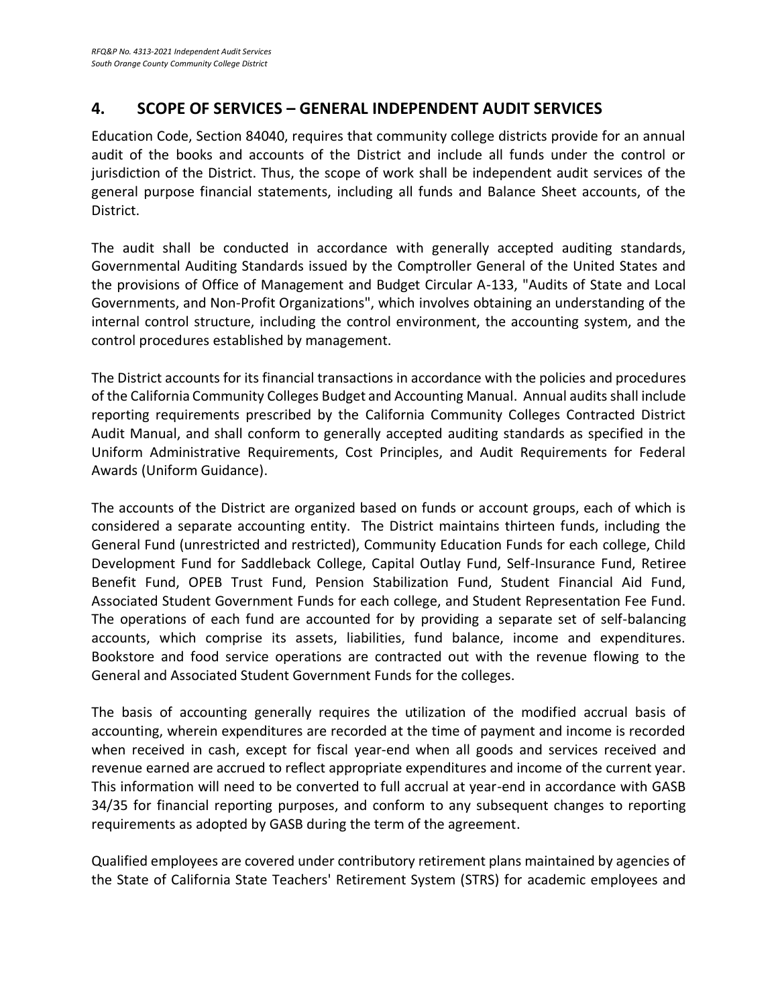## **4. SCOPE OF SERVICES – GENERAL INDEPENDENT AUDIT SERVICES**

Education Code, Section 84040, requires that community college districts provide for an annual audit of the books and accounts of the District and include all funds under the control or jurisdiction of the District. Thus, the scope of work shall be independent audit services of the general purpose financial statements, including all funds and Balance Sheet accounts, of the District.

The audit shall be conducted in accordance with generally accepted auditing standards, Governmental Auditing Standards issued by the Comptroller General of the United States and the provisions of Office of Management and Budget Circular A-133, "Audits of State and Local Governments, and Non-Profit Organizations", which involves obtaining an understanding of the internal control structure, including the control environment, the accounting system, and the control procedures established by management.

The District accounts for its financial transactions in accordance with the policies and procedures of the California Community Colleges Budget and Accounting Manual. Annual audits shall include reporting requirements prescribed by the California Community Colleges Contracted District Audit Manual, and shall conform to generally accepted auditing standards as specified in the Uniform Administrative Requirements, Cost Principles, and Audit Requirements for Federal Awards (Uniform Guidance).

The accounts of the District are organized based on funds or account groups, each of which is considered a separate accounting entity. The District maintains thirteen funds, including the General Fund (unrestricted and restricted), Community Education Funds for each college, Child Development Fund for Saddleback College, Capital Outlay Fund, Self-Insurance Fund, Retiree Benefit Fund, OPEB Trust Fund, Pension Stabilization Fund, Student Financial Aid Fund, Associated Student Government Funds for each college, and Student Representation Fee Fund. The operations of each fund are accounted for by providing a separate set of self-balancing accounts, which comprise its assets, liabilities, fund balance, income and expenditures. Bookstore and food service operations are contracted out with the revenue flowing to the General and Associated Student Government Funds for the colleges.

The basis of accounting generally requires the utilization of the modified accrual basis of accounting, wherein expenditures are recorded at the time of payment and income is recorded when received in cash, except for fiscal year-end when all goods and services received and revenue earned are accrued to reflect appropriate expenditures and income of the current year. This information will need to be converted to full accrual at year-end in accordance with GASB 34/35 for financial reporting purposes, and conform to any subsequent changes to reporting requirements as adopted by GASB during the term of the agreement.

Qualified employees are covered under contributory retirement plans maintained by agencies of the State of California State Teachers' Retirement System (STRS) for academic employees and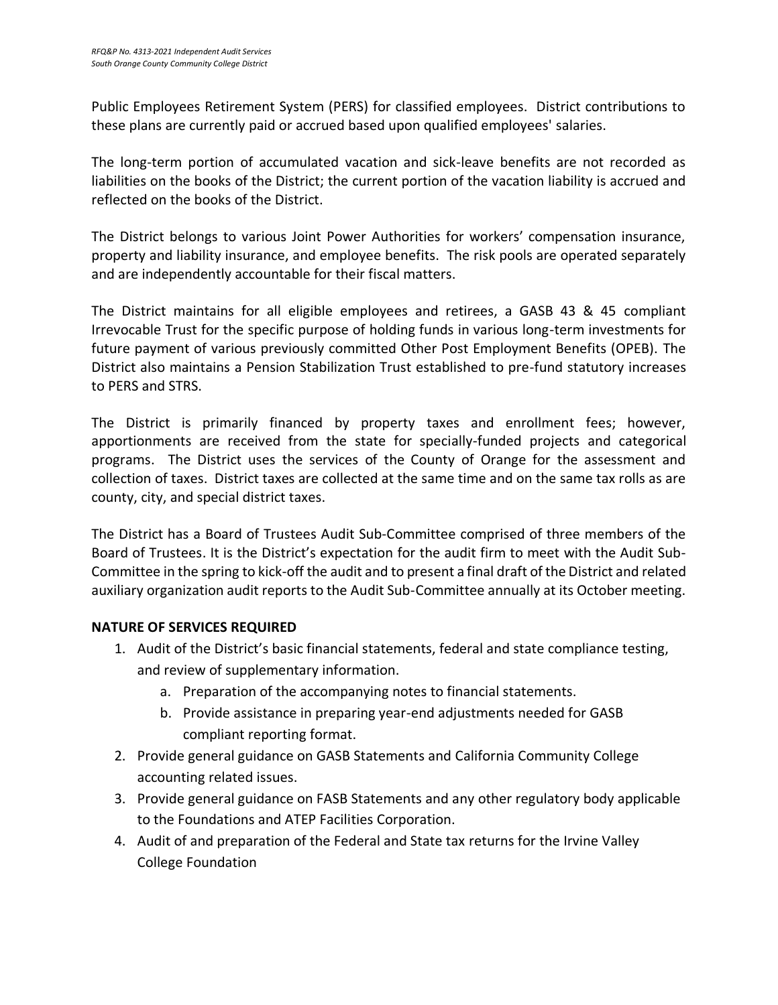Public Employees Retirement System (PERS) for classified employees. District contributions to these plans are currently paid or accrued based upon qualified employees' salaries.

The long-term portion of accumulated vacation and sick-leave benefits are not recorded as liabilities on the books of the District; the current portion of the vacation liability is accrued and reflected on the books of the District.

The District belongs to various Joint Power Authorities for workers' compensation insurance, property and liability insurance, and employee benefits. The risk pools are operated separately and are independently accountable for their fiscal matters.

The District maintains for all eligible employees and retirees, a GASB 43 & 45 compliant Irrevocable Trust for the specific purpose of holding funds in various long-term investments for future payment of various previously committed Other Post Employment Benefits (OPEB). The District also maintains a Pension Stabilization Trust established to pre-fund statutory increases to PERS and STRS.

The District is primarily financed by property taxes and enrollment fees; however, apportionments are received from the state for specially-funded projects and categorical programs. The District uses the services of the County of Orange for the assessment and collection of taxes. District taxes are collected at the same time and on the same tax rolls as are county, city, and special district taxes.

The District has a Board of Trustees Audit Sub-Committee comprised of three members of the Board of Trustees. It is the District's expectation for the audit firm to meet with the Audit Sub-Committee in the spring to kick-off the audit and to present a final draft of the District and related auxiliary organization audit reports to the Audit Sub-Committee annually at its October meeting.

#### **NATURE OF SERVICES REQUIRED**

- 1. Audit of the District's basic financial statements, federal and state compliance testing, and review of supplementary information.
	- a. Preparation of the accompanying notes to financial statements.
	- b. Provide assistance in preparing year-end adjustments needed for GASB compliant reporting format.
- 2. Provide general guidance on GASB Statements and California Community College accounting related issues.
- 3. Provide general guidance on FASB Statements and any other regulatory body applicable to the Foundations and ATEP Facilities Corporation.
- 4. Audit of and preparation of the Federal and State tax returns for the Irvine Valley College Foundation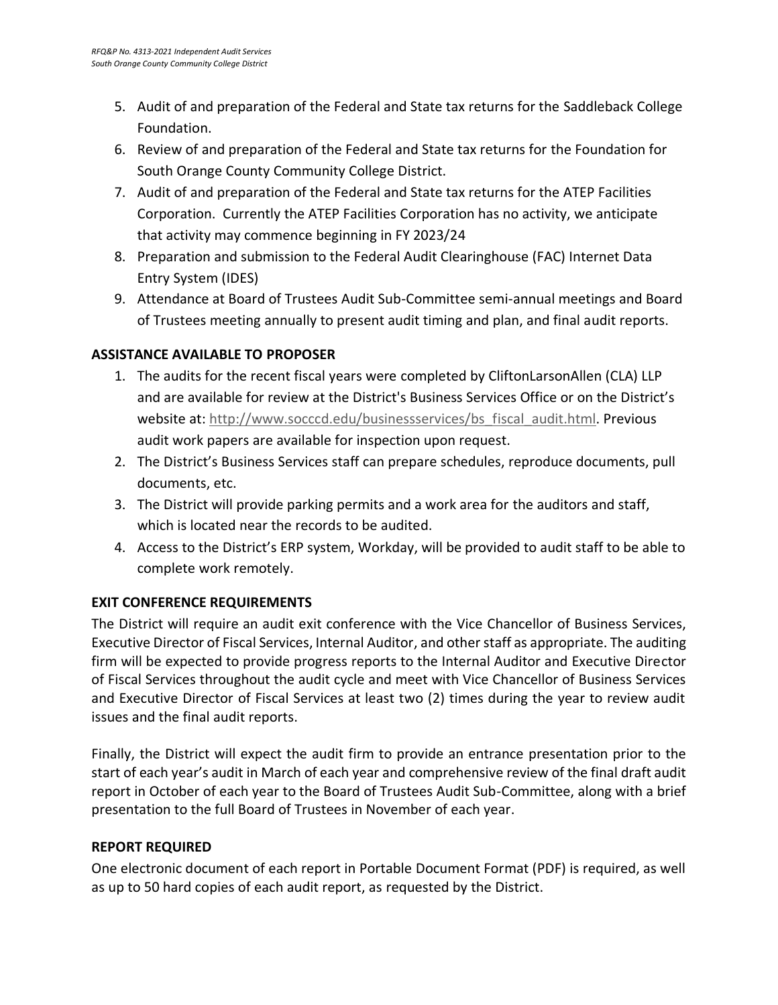- 5. Audit of and preparation of the Federal and State tax returns for the Saddleback College Foundation.
- 6. Review of and preparation of the Federal and State tax returns for the Foundation for South Orange County Community College District.
- 7. Audit of and preparation of the Federal and State tax returns for the ATEP Facilities Corporation. Currently the ATEP Facilities Corporation has no activity, we anticipate that activity may commence beginning in FY 2023/24
- 8. Preparation and submission to the Federal Audit Clearinghouse (FAC) Internet Data Entry System (IDES)
- 9. Attendance at Board of Trustees Audit Sub-Committee semi-annual meetings and Board of Trustees meeting annually to present audit timing and plan, and final audit reports.

### **ASSISTANCE AVAILABLE TO PROPOSER**

- 1. The audits for the recent fiscal years were completed by CliftonLarsonAllen (CLA) LLP and are available for review at the District's Business Services Office or on the District's website at[: http://www.socccd.edu/businessservices/bs\\_fiscal\\_audit.html.](http://www.socccd.edu/businessservices/bs_fiscal_audit.html) Previous audit work papers are available for inspection upon request.
- 2. The District's Business Services staff can prepare schedules, reproduce documents, pull documents, etc.
- 3. The District will provide parking permits and a work area for the auditors and staff, which is located near the records to be audited.
- 4. Access to the District's ERP system, Workday, will be provided to audit staff to be able to complete work remotely.

#### **EXIT CONFERENCE REQUIREMENTS**

The District will require an audit exit conference with the Vice Chancellor of Business Services, Executive Director of Fiscal Services, Internal Auditor, and other staff as appropriate. The auditing firm will be expected to provide progress reports to the Internal Auditor and Executive Director of Fiscal Services throughout the audit cycle and meet with Vice Chancellor of Business Services and Executive Director of Fiscal Services at least two (2) times during the year to review audit issues and the final audit reports.

Finally, the District will expect the audit firm to provide an entrance presentation prior to the start of each year's audit in March of each year and comprehensive review of the final draft audit report in October of each year to the Board of Trustees Audit Sub-Committee, along with a brief presentation to the full Board of Trustees in November of each year.

#### **REPORT REQUIRED**

One electronic document of each report in Portable Document Format (PDF) is required, as well as up to 50 hard copies of each audit report, as requested by the District.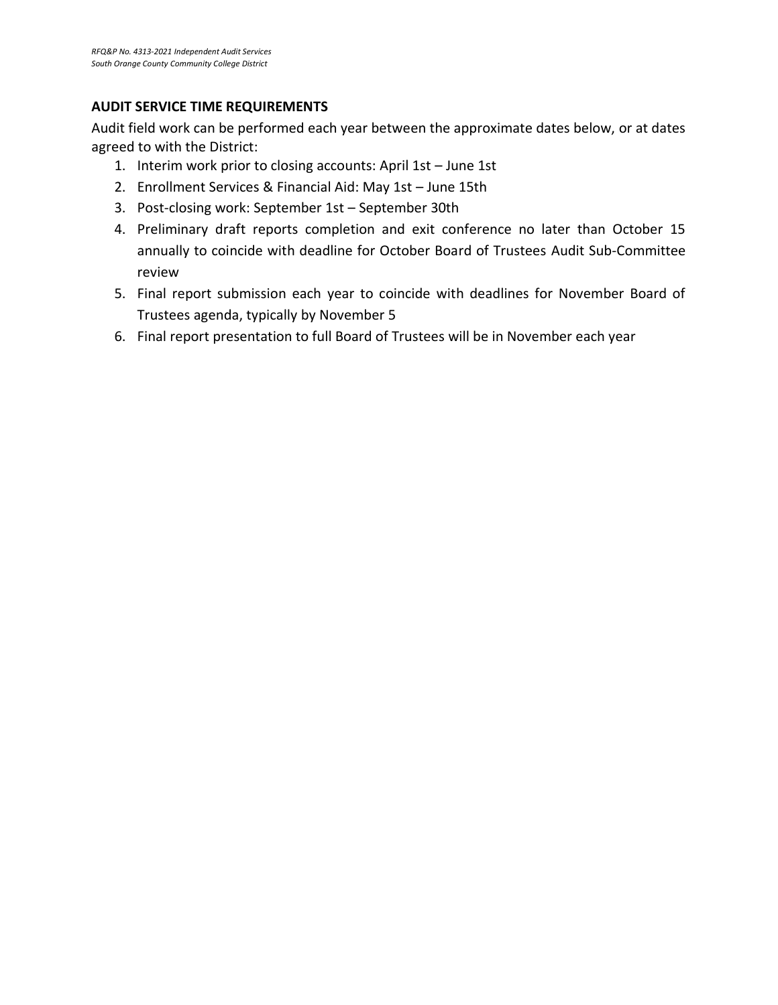#### **AUDIT SERVICE TIME REQUIREMENTS**

Audit field work can be performed each year between the approximate dates below, or at dates agreed to with the District:

- 1. Interim work prior to closing accounts: April 1st June 1st
- 2. Enrollment Services & Financial Aid: May 1st June 15th
- 3. Post-closing work: September 1st September 30th
- 4. Preliminary draft reports completion and exit conference no later than October 15 annually to coincide with deadline for October Board of Trustees Audit Sub-Committee review
- 5. Final report submission each year to coincide with deadlines for November Board of Trustees agenda, typically by November 5
- 6. Final report presentation to full Board of Trustees will be in November each year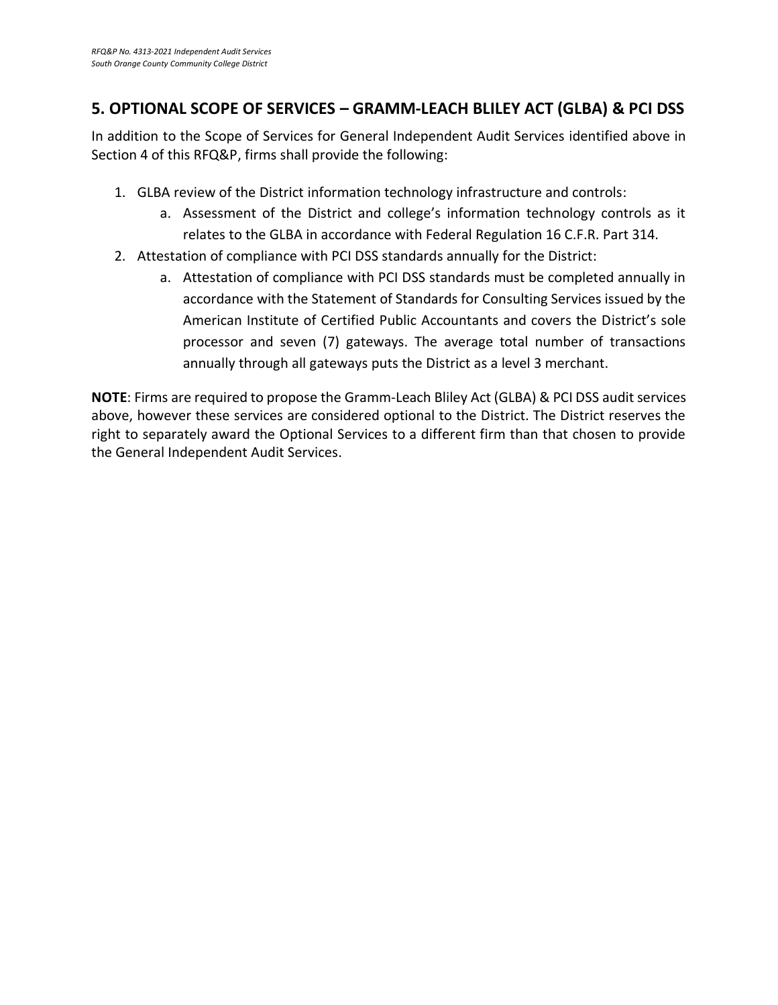## **5. OPTIONAL SCOPE OF SERVICES – GRAMM-LEACH BLILEY ACT (GLBA) & PCI DSS**

In addition to the Scope of Services for General Independent Audit Services identified above in Section 4 of this RFQ&P, firms shall provide the following:

- 1. GLBA review of the District information technology infrastructure and controls:
	- a. Assessment of the District and college's information technology controls as it relates to the GLBA in accordance with Federal Regulation 16 C.F.R. Part 314.
- 2. Attestation of compliance with PCI DSS standards annually for the District:
	- a. Attestation of compliance with PCI DSS standards must be completed annually in accordance with the Statement of Standards for Consulting Services issued by the American Institute of Certified Public Accountants and covers the District's sole processor and seven (7) gateways. The average total number of transactions annually through all gateways puts the District as a level 3 merchant.

**NOTE**: Firms are required to propose the Gramm-Leach Bliley Act (GLBA) & PCI DSS audit services above, however these services are considered optional to the District. The District reserves the right to separately award the Optional Services to a different firm than that chosen to provide the General Independent Audit Services.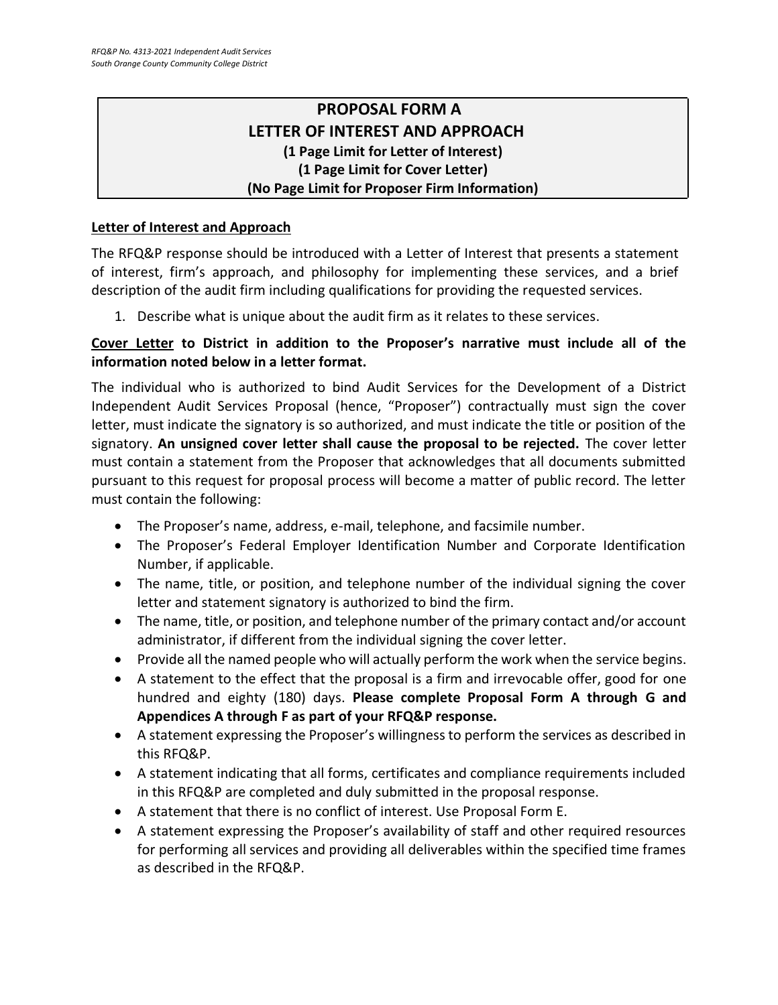## **PROPOSAL FORM A LETTER OF INTEREST AND APPROACH (1 Page Limit for Letter of Interest) (1 Page Limit for Cover Letter) (No Page Limit for Proposer Firm Information)**

#### **Letter of Interest and Approach**

The RFQ&P response should be introduced with a Letter of Interest that presents a statement of interest, firm's approach, and philosophy for implementing these services, and a brief description of the audit firm including qualifications for providing the requested services.

1. Describe what is unique about the audit firm as it relates to these services.

### **Cover Letter to District in addition to the Proposer's narrative must include all of the information noted below in a letter format.**

The individual who is authorized to bind Audit Services for the Development of a District Independent Audit Services Proposal (hence, "Proposer") contractually must sign the cover letter, must indicate the signatory is so authorized, and must indicate the title or position of the signatory. **An unsigned cover letter shall cause the proposal to be rejected.** The cover letter must contain a statement from the Proposer that acknowledges that all documents submitted pursuant to this request for proposal process will become a matter of public record. The letter must contain the following:

- The Proposer's name, address, e-mail, telephone, and facsimile number.
- The Proposer's Federal Employer Identification Number and Corporate Identification Number, if applicable.
- The name, title, or position, and telephone number of the individual signing the cover letter and statement signatory is authorized to bind the firm.
- The name, title, or position, and telephone number of the primary contact and/or account administrator, if different from the individual signing the cover letter.
- Provide all the named people who will actually perform the work when the service begins.
- A statement to the effect that the proposal is a firm and irrevocable offer, good for one hundred and eighty (180) days. **Please complete Proposal Form A through G and Appendices A through F as part of your RFQ&P response.**
- A statement expressing the Proposer's willingness to perform the services as described in this RFQ&P.
- A statement indicating that all forms, certificates and compliance requirements included in this RFQ&P are completed and duly submitted in the proposal response.
- A statement that there is no conflict of interest. Use Proposal Form E.
- A statement expressing the Proposer's availability of staff and other required resources for performing all services and providing all deliverables within the specified time frames as described in the RFQ&P.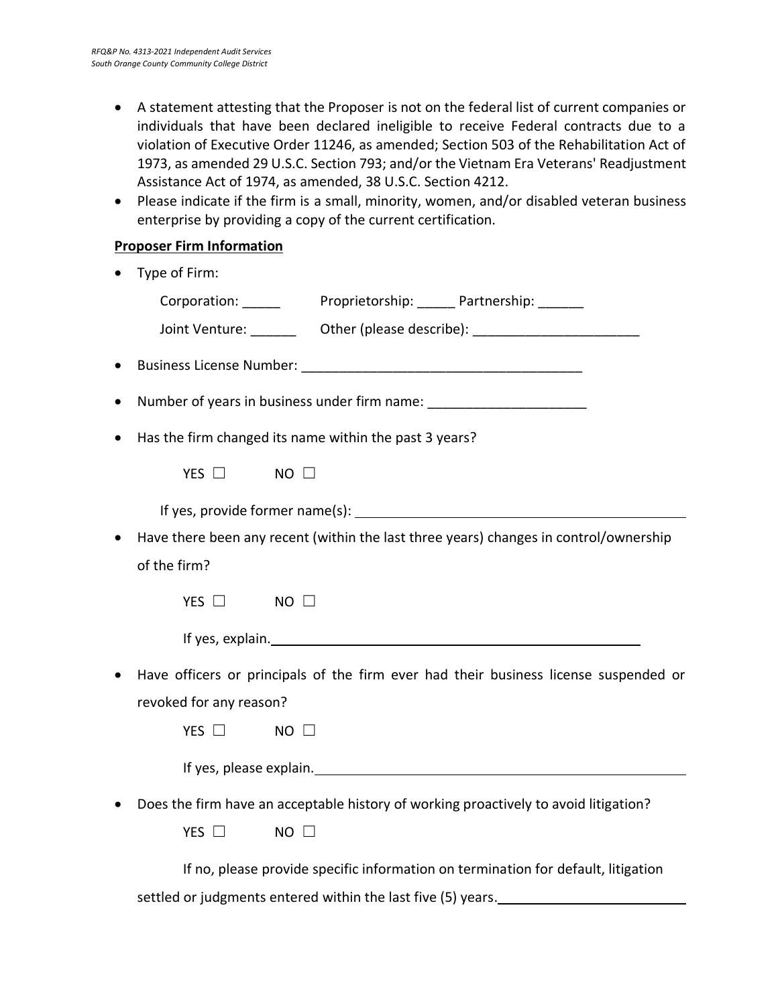- A statement attesting that the Proposer is not on the federal list of current companies or individuals that have been declared ineligible to receive Federal contracts due to a violation of Executive Order 11246, as amended; Section 503 of the Rehabilitation Act of 1973, as amended 29 U.S.C. Section 793; and/or the Vietnam Era Veterans' Readjustment Assistance Act of 1974, as amended, 38 U.S.C. Section 4212.
- Please indicate if the firm is a small, minority, women, and/or disabled veteran business enterprise by providing a copy of the current certification.

#### **Proposer Firm Information**

| Type of Firm:                                                                                                                                                                                                                  |
|--------------------------------------------------------------------------------------------------------------------------------------------------------------------------------------------------------------------------------|
| Corporation: Proprietorship: Partnership: Partnership:                                                                                                                                                                         |
| Joint Venture: _________ Other (please describe): ______________________________                                                                                                                                               |
|                                                                                                                                                                                                                                |
| Number of years in business under firm name: ___________________________________                                                                                                                                               |
| Has the firm changed its name within the past 3 years?                                                                                                                                                                         |
| YES $\Box$<br>$NO$ $\square$                                                                                                                                                                                                   |
|                                                                                                                                                                                                                                |
| Have there been any recent (within the last three years) changes in control/ownership                                                                                                                                          |
| of the firm?                                                                                                                                                                                                                   |
| YES $\Box$<br>$NO$ $\square$                                                                                                                                                                                                   |
| If yes, explain. The same state of the state of the state of the state of the state of the state of the state of the state of the state of the state of the state of the state of the state of the state of the state of the s |
| Have officers or principals of the firm ever had their business license suspended or                                                                                                                                           |
| revoked for any reason?                                                                                                                                                                                                        |
| YES $\Box$<br>$NO$ $\Box$                                                                                                                                                                                                      |
|                                                                                                                                                                                                                                |
| Does the firm have an acceptable history of working proactively to avoid litigation?                                                                                                                                           |
| YES $\Box$<br>$NO$ $\Box$                                                                                                                                                                                                      |
|                                                                                                                                                                                                                                |

If no, please provide specific information on termination for default, litigation

settled or judgments entered within the last five (5) years.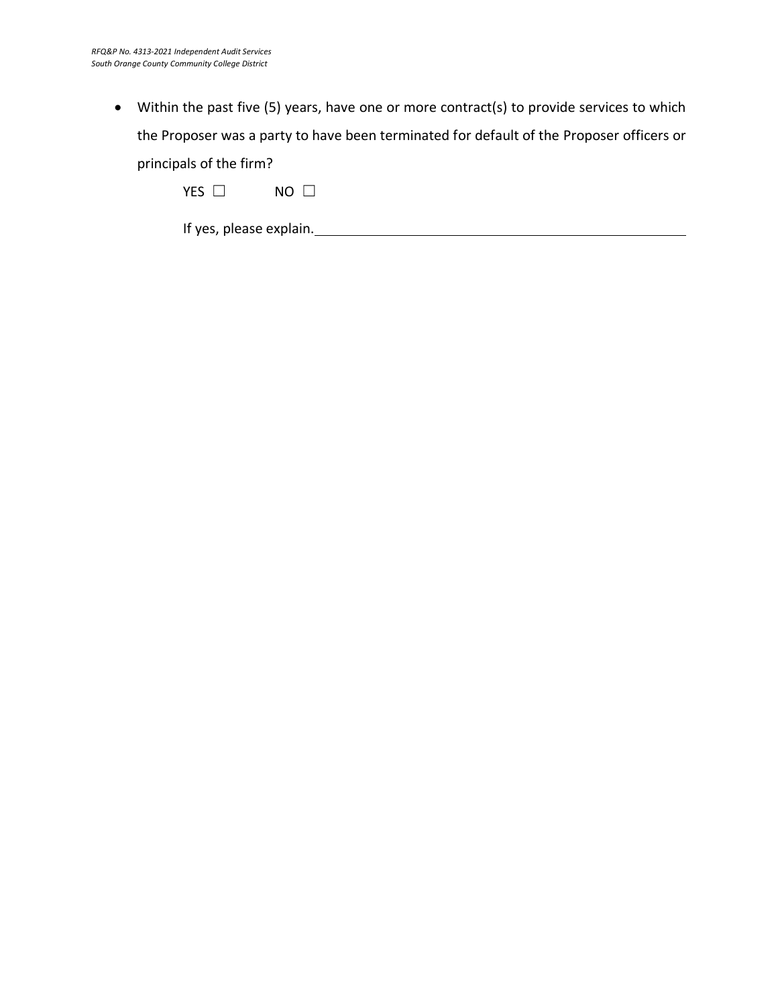• Within the past five (5) years, have one or more contract(s) to provide services to which the Proposer was a party to have been terminated for default of the Proposer officers or principals of the firm?

| <b>VEC</b><br>1 E.D. | NΩ |  |
|----------------------|----|--|
|----------------------|----|--|

If yes, please explain.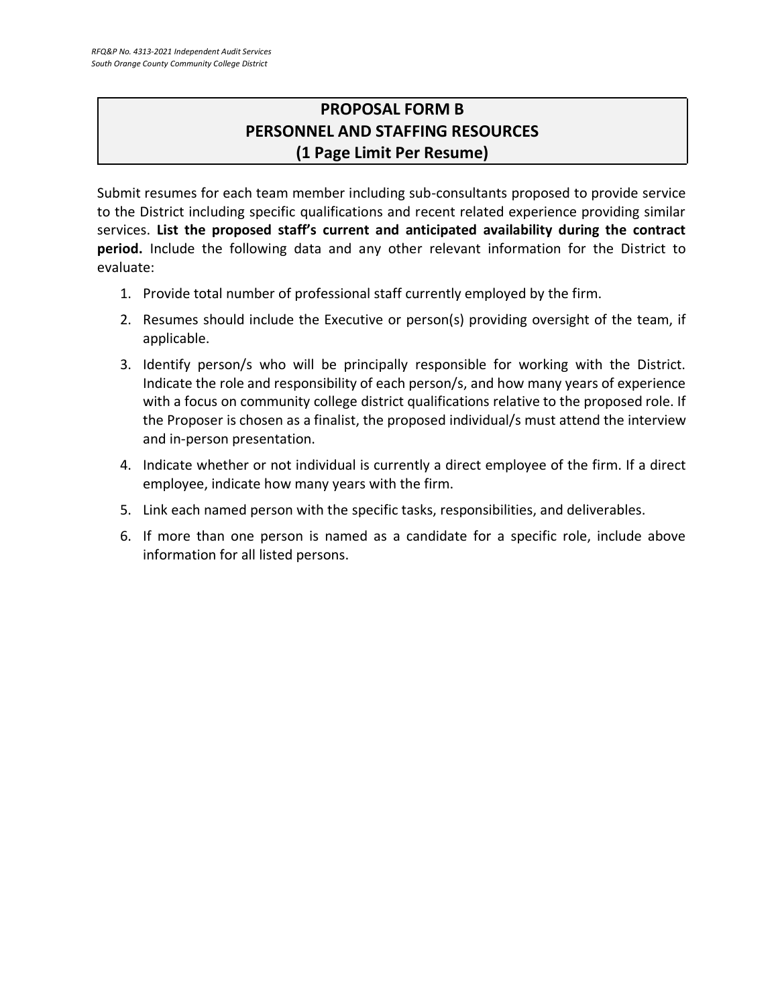# **PROPOSAL FORM B PERSONNEL AND STAFFING RESOURCES (1 Page Limit Per Resume)**

Submit resumes for each team member including sub-consultants proposed to provide service to the District including specific qualifications and recent related experience providing similar services. **List the proposed staff's current and anticipated availability during the contract period.** Include the following data and any other relevant information for the District to evaluate:

- 1. Provide total number of professional staff currently employed by the firm.
- 2. Resumes should include the Executive or person(s) providing oversight of the team, if applicable.
- 3. Identify person/s who will be principally responsible for working with the District. Indicate the role and responsibility of each person/s, and how many years of experience with a focus on community college district qualifications relative to the proposed role. If the Proposer is chosen as a finalist, the proposed individual/s must attend the interview and in-person presentation.
- 4. Indicate whether or not individual is currently a direct employee of the firm. If a direct employee, indicate how many years with the firm.
- 5. Link each named person with the specific tasks, responsibilities, and deliverables.
- 6. If more than one person is named as a candidate for a specific role, include above information for all listed persons.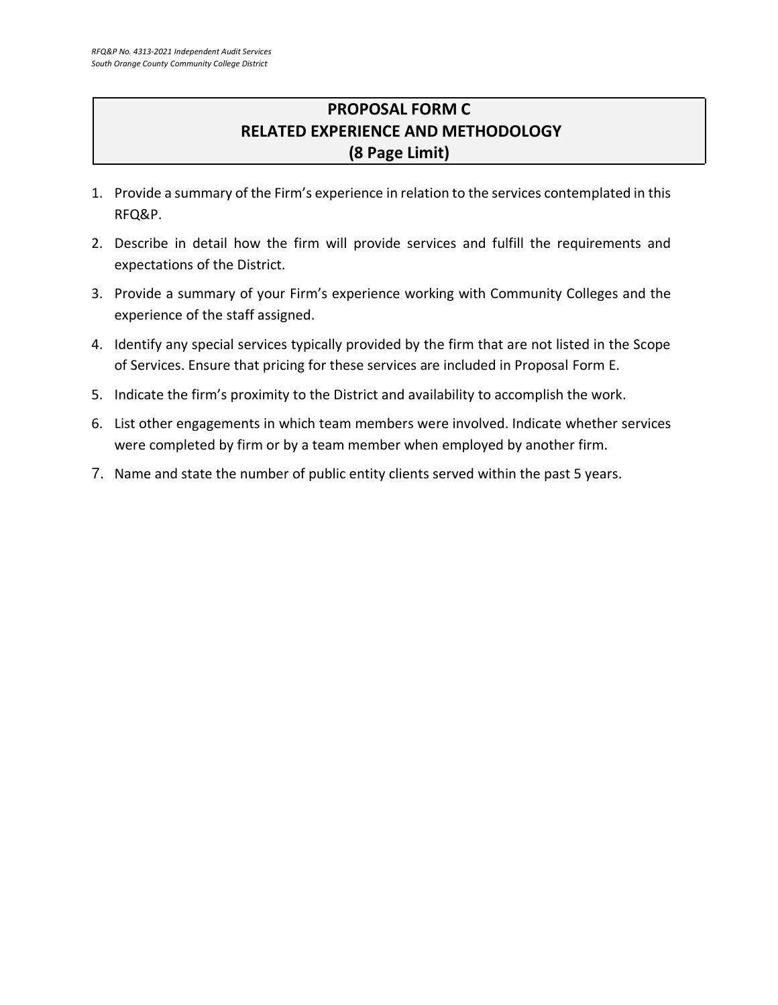# **PROPOSAL FORM C RELATED EXPERIENCE AND METHODOLOGY (8 Page Limit)**

- 1. Provide a summary of the Firm's experience in relation to the services contemplated in this RFQ&P.
- 2. Describe in detail how the firm will provide services and fulfill the requirements and expectations of the District.
- 3. Provide a summary of your Firm's experience working with Community Colleges and the experience of the staff assigned.
- 4. Identify any special services typically provided by the firm that are not listed in the Scope of Services. Ensure that pricing for these services are included in Proposal Form E.
- 5. Indicate the firm's proximity to the District and availability to accomplish the work.
- 6. List other engagements in which team members were involved. Indicate whether services were completed by firm or by a team member when employed by another firm.
- 7. Name and state the number of public entity clients served within the past 5 years.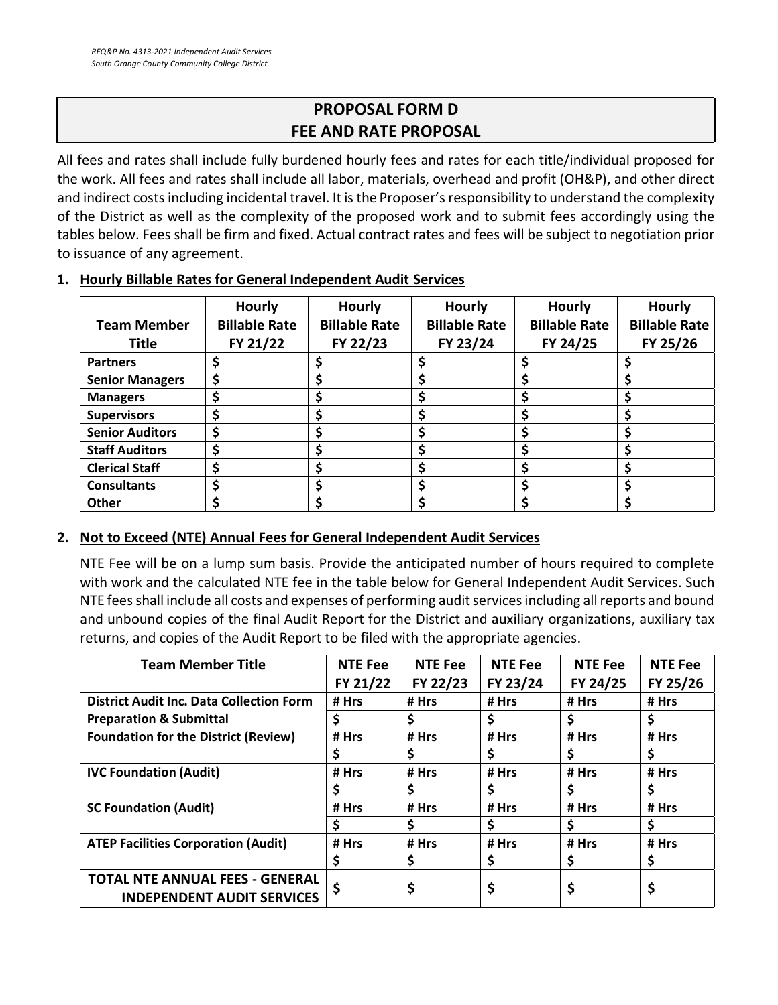# **PROPOSAL FORM D FEE AND RATE PROPOSAL**

All fees and rates shall include fully burdened hourly fees and rates for each title/individual proposed for the work. All fees and rates shall include all labor, materials, overhead and profit (OH&P), and other direct and indirect costs including incidental travel. It is the Proposer's responsibility to understand the complexity of the District as well as the complexity of the proposed work and to submit fees accordingly using the tables below. Fees shall be firm and fixed. Actual contract rates and fees will be subject to negotiation prior to issuance of any agreement.

| <b>Team Member</b><br><b>Title</b> | Hourly<br><b>Billable Rate</b><br>FY 21/22 | <b>Hourly</b><br><b>Billable Rate</b><br>FY 22/23 | <b>Hourly</b><br><b>Billable Rate</b><br>FY 23/24 | Hourly<br><b>Billable Rate</b><br>FY 24/25 | <b>Hourly</b><br><b>Billable Rate</b><br>FY 25/26 |
|------------------------------------|--------------------------------------------|---------------------------------------------------|---------------------------------------------------|--------------------------------------------|---------------------------------------------------|
| <b>Partners</b>                    | Ś                                          | S                                                 |                                                   |                                            |                                                   |
| <b>Senior Managers</b>             | \$                                         | S                                                 |                                                   |                                            |                                                   |
| <b>Managers</b>                    | Ś                                          | S                                                 |                                                   |                                            |                                                   |
| <b>Supervisors</b>                 | S                                          |                                                   |                                                   |                                            |                                                   |
| <b>Senior Auditors</b>             | S                                          |                                                   |                                                   |                                            |                                                   |
| <b>Staff Auditors</b>              | S                                          |                                                   |                                                   |                                            |                                                   |
| <b>Clerical Staff</b>              | S                                          |                                                   |                                                   |                                            |                                                   |
| <b>Consultants</b>                 | \$                                         | \$                                                |                                                   |                                            |                                                   |
| <b>Other</b>                       |                                            |                                                   |                                                   |                                            |                                                   |

#### **1. Hourly Billable Rates for General Independent Audit Services**

#### **2. Not to Exceed (NTE) Annual Fees for General Independent Audit Services**

NTE Fee will be on a lump sum basis. Provide the anticipated number of hours required to complete with work and the calculated NTE fee in the table below for General Independent Audit Services. Such NTE fees shall include all costs and expenses of performing audit services including all reports and bound and unbound copies of the final Audit Report for the District and auxiliary organizations, auxiliary tax returns, and copies of the Audit Report to be filed with the appropriate agencies.

| <b>Team Member Title</b>                                                    | <b>NTE Fee</b> | <b>NTE Fee</b> | <b>NTE Fee</b> | <b>NTE Fee</b> | <b>NTE Fee</b> |
|-----------------------------------------------------------------------------|----------------|----------------|----------------|----------------|----------------|
|                                                                             | FY 21/22       | FY 22/23       | FY 23/24       | FY 24/25       | FY 25/26       |
| <b>District Audit Inc. Data Collection Form</b>                             | # Hrs          | # Hrs          | # Hrs          | # Hrs          | # Hrs          |
| <b>Preparation &amp; Submittal</b>                                          | \$             | \$             |                |                |                |
| <b>Foundation for the District (Review)</b>                                 | # Hrs          | # Hrs          | # Hrs          | # Hrs          | # Hrs          |
|                                                                             | S              | \$             | \$             | \$             | \$             |
| <b>IVC Foundation (Audit)</b>                                               | # Hrs          | # Hrs          | # Hrs          | # Hrs          | # Hrs          |
|                                                                             | S              | Ś              | \$             | S              | S              |
| <b>SC Foundation (Audit)</b>                                                | # Hrs          | # Hrs          | # Hrs          | # Hrs          | # Hrs          |
|                                                                             | S              | Ś.             | \$             | Ś              | \$             |
| <b>ATEP Facilities Corporation (Audit)</b>                                  | # Hrs          | # Hrs          | # Hrs          | # Hrs          | # Hrs          |
|                                                                             | Ś              | \$             | \$             | \$             | \$             |
| <b>TOTAL NTE ANNUAL FEES - GENERAL</b><br><b>INDEPENDENT AUDIT SERVICES</b> |                | \$             | \$             | \$             | Ş              |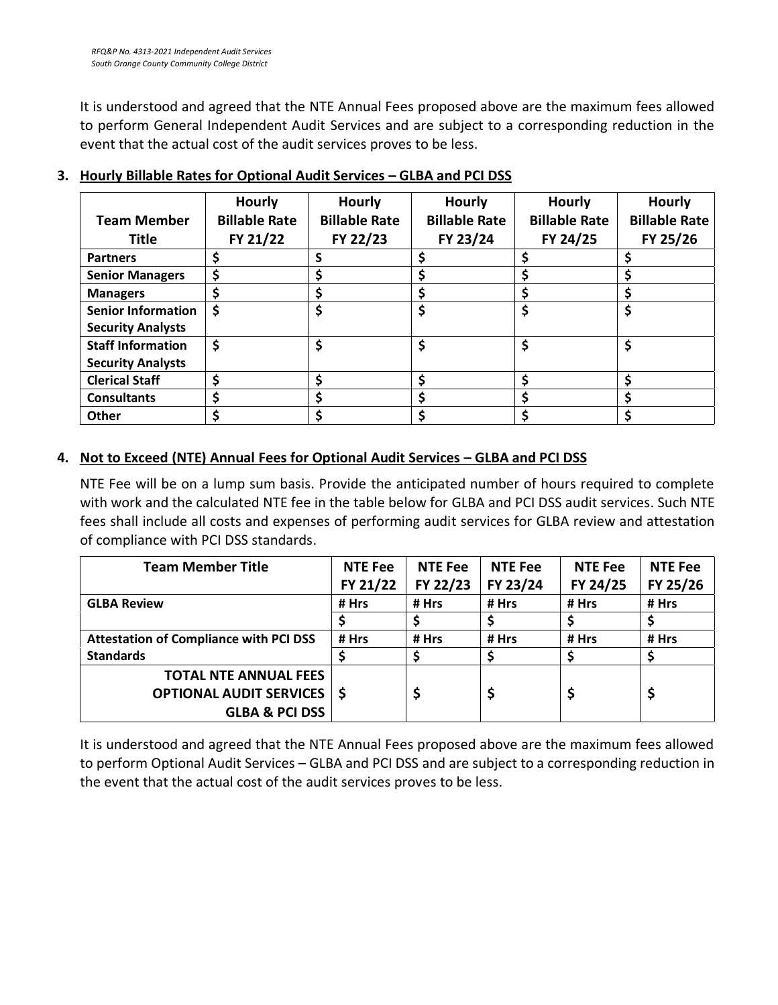It is understood and agreed that the NTE Annual Fees proposed above are the maximum fees allowed to perform General Independent Audit Services and are subject to a corresponding reduction in the event that the actual cost of the audit services proves to be less.

| <b>Team Member</b><br>Title                           | Hourly<br><b>Billable Rate</b><br>FY 21/22 | <b>Hourly</b><br><b>Billable Rate</b><br>FY 22/23 | <b>Hourly</b><br><b>Billable Rate</b><br>FY 23/24 | <b>Hourly</b><br><b>Billable Rate</b><br>FY 24/25 | <b>Hourly</b><br><b>Billable Rate</b><br>FY 25/26 |
|-------------------------------------------------------|--------------------------------------------|---------------------------------------------------|---------------------------------------------------|---------------------------------------------------|---------------------------------------------------|
| <b>Partners</b>                                       |                                            | S                                                 | \$                                                | \$                                                | \$                                                |
| <b>Senior Managers</b>                                | \$                                         |                                                   | \$                                                | \$                                                | \$                                                |
| <b>Managers</b>                                       | \$                                         |                                                   | \$                                                | \$                                                | \$                                                |
| <b>Senior Information</b><br><b>Security Analysts</b> | \$                                         | \$                                                | \$                                                | \$                                                | \$                                                |
| <b>Staff Information</b><br><b>Security Analysts</b>  | \$                                         | \$                                                | \$                                                | \$                                                | \$                                                |
| <b>Clerical Staff</b>                                 | \$                                         | \$                                                | \$                                                | \$                                                | \$                                                |
| <b>Consultants</b>                                    | S                                          |                                                   | \$                                                | \$                                                | \$                                                |
| <b>Other</b>                                          |                                            |                                                   | \$                                                | \$                                                |                                                   |

## **3. Hourly Billable Rates for Optional Audit Services – GLBA and PCI DSS**

## **4. Not to Exceed (NTE) Annual Fees for Optional Audit Services – GLBA and PCI DSS**

NTE Fee will be on a lump sum basis. Provide the anticipated number of hours required to complete with work and the calculated NTE fee in the table below for GLBA and PCI DSS audit services. Such NTE fees shall include all costs and expenses of performing audit services for GLBA review and attestation of compliance with PCI DSS standards.

| <b>Team Member Title</b>                      | <b>NTE Fee</b> | <b>NTE Fee</b> | <b>NTE Fee</b> | <b>NTE Fee</b> | <b>NTE Fee</b> |
|-----------------------------------------------|----------------|----------------|----------------|----------------|----------------|
|                                               | FY 21/22       | FY 22/23       | FY 23/24       | FY 24/25       | FY 25/26       |
| <b>GLBA Review</b>                            | # Hrs          | # Hrs          | # Hrs          | # Hrs          | # Hrs          |
|                                               |                |                |                |                |                |
| <b>Attestation of Compliance with PCI DSS</b> | # Hrs          | # Hrs          | # Hrs          | # Hrs          | # Hrs          |
| <b>Standards</b>                              |                |                |                |                |                |
| <b>TOTAL NTE ANNUAL FEES</b>                  |                |                |                |                |                |
| <b>OPTIONAL AUDIT SERVICES   \$</b>           |                |                | \$             |                |                |
| <b>GLBA &amp; PCI DSS</b>                     |                |                |                |                |                |

It is understood and agreed that the NTE Annual Fees proposed above are the maximum fees allowed to perform Optional Audit Services – GLBA and PCI DSS and are subject to a corresponding reduction in the event that the actual cost of the audit services proves to be less.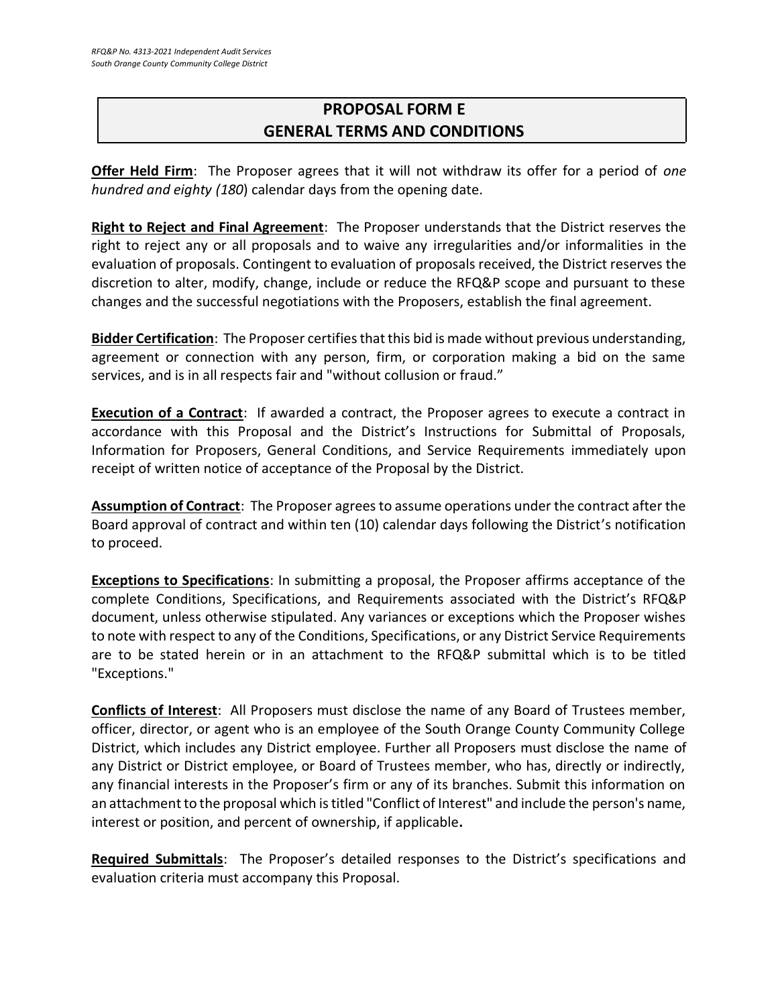# **PROPOSAL FORM E GENERAL TERMS AND CONDITIONS**

**Offer Held Firm**: The Proposer agrees that it will not withdraw its offer for a period of *one hundred and eighty (180*) calendar days from the opening date.

**Right to Reject and Final Agreement**: The Proposer understands that the District reserves the right to reject any or all proposals and to waive any irregularities and/or informalities in the evaluation of proposals. Contingent to evaluation of proposals received, the District reserves the discretion to alter, modify, change, include or reduce the RFQ&P scope and pursuant to these changes and the successful negotiations with the Proposers, establish the final agreement.

**Bidder Certification**: The Proposer certifies that this bid is made without previous understanding, agreement or connection with any person, firm, or corporation making a bid on the same services, and is in all respects fair and "without collusion or fraud."

**Execution of a Contract**: If awarded a contract, the Proposer agrees to execute a contract in accordance with this Proposal and the District's Instructions for Submittal of Proposals, Information for Proposers, General Conditions, and Service Requirements immediately upon receipt of written notice of acceptance of the Proposal by the District.

**Assumption of Contract**: The Proposer agrees to assume operations under the contract after the Board approval of contract and within ten (10) calendar days following the District's notification to proceed.

**Exceptions to Specifications**: In submitting a proposal, the Proposer affirms acceptance of the complete Conditions, Specifications, and Requirements associated with the District's RFQ&P document, unless otherwise stipulated. Any variances or exceptions which the Proposer wishes to note with respect to any of the Conditions, Specifications, or any District Service Requirements are to be stated herein or in an attachment to the RFQ&P submittal which is to be titled "Exceptions."

**Conflicts of Interest**: All Proposers must disclose the name of any Board of Trustees member, officer, director, or agent who is an employee of the South Orange County Community College District, which includes any District employee. Further all Proposers must disclose the name of any District or District employee, or Board of Trustees member, who has, directly or indirectly, any financial interests in the Proposer's firm or any of its branches. Submit this information on an attachment to the proposal which is titled "Conflict of Interest" and include the person's name, interest or position, and percent of ownership, if applicable**.**

**Required Submittals**: The Proposer's detailed responses to the District's specifications and evaluation criteria must accompany this Proposal.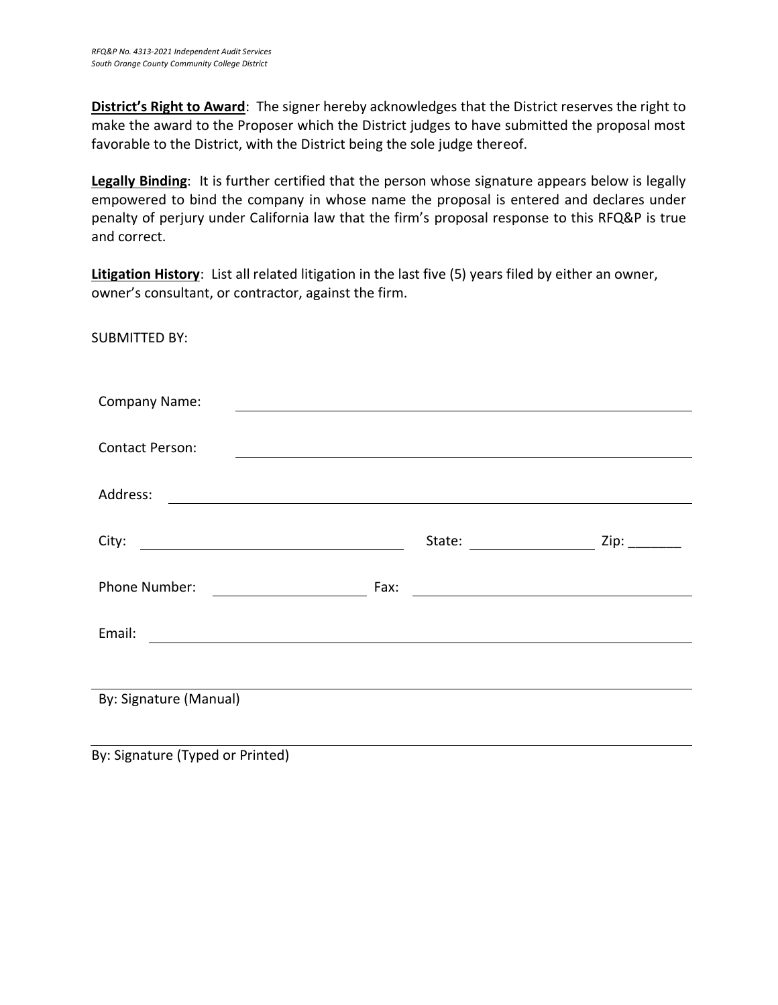**District's Right to Award**: The signer hereby acknowledges that the District reserves the right to make the award to the Proposer which the District judges to have submitted the proposal most favorable to the District, with the District being the sole judge thereof.

**Legally Binding**: It is further certified that the person whose signature appears below is legally empowered to bind the company in whose name the proposal is entered and declares under penalty of perjury under California law that the firm's proposal response to this RFQ&P is true and correct.

**Litigation History**: List all related litigation in the last five (5) years filed by either an owner, owner's consultant, or contractor, against the firm.

SUBMITTED BY:

| Company Name:          |      |        |                                                                                                                                                                                                                                |
|------------------------|------|--------|--------------------------------------------------------------------------------------------------------------------------------------------------------------------------------------------------------------------------------|
|                        |      |        |                                                                                                                                                                                                                                |
| <b>Contact Person:</b> |      |        |                                                                                                                                                                                                                                |
|                        |      |        |                                                                                                                                                                                                                                |
| Address:               |      |        |                                                                                                                                                                                                                                |
|                        |      |        |                                                                                                                                                                                                                                |
| City:                  |      | State: | Zip: the control of the control of the control of the control of the control of the control of the control of the control of the control of the control of the control of the control of the control of the control of the con |
|                        |      |        |                                                                                                                                                                                                                                |
| Phone Number:          | Fax: |        |                                                                                                                                                                                                                                |
|                        |      |        |                                                                                                                                                                                                                                |
| Email:                 |      |        |                                                                                                                                                                                                                                |
|                        |      |        |                                                                                                                                                                                                                                |
|                        |      |        |                                                                                                                                                                                                                                |
| By: Signature (Manual) |      |        |                                                                                                                                                                                                                                |
|                        |      |        |                                                                                                                                                                                                                                |
|                        |      |        |                                                                                                                                                                                                                                |

By: Signature (Typed or Printed)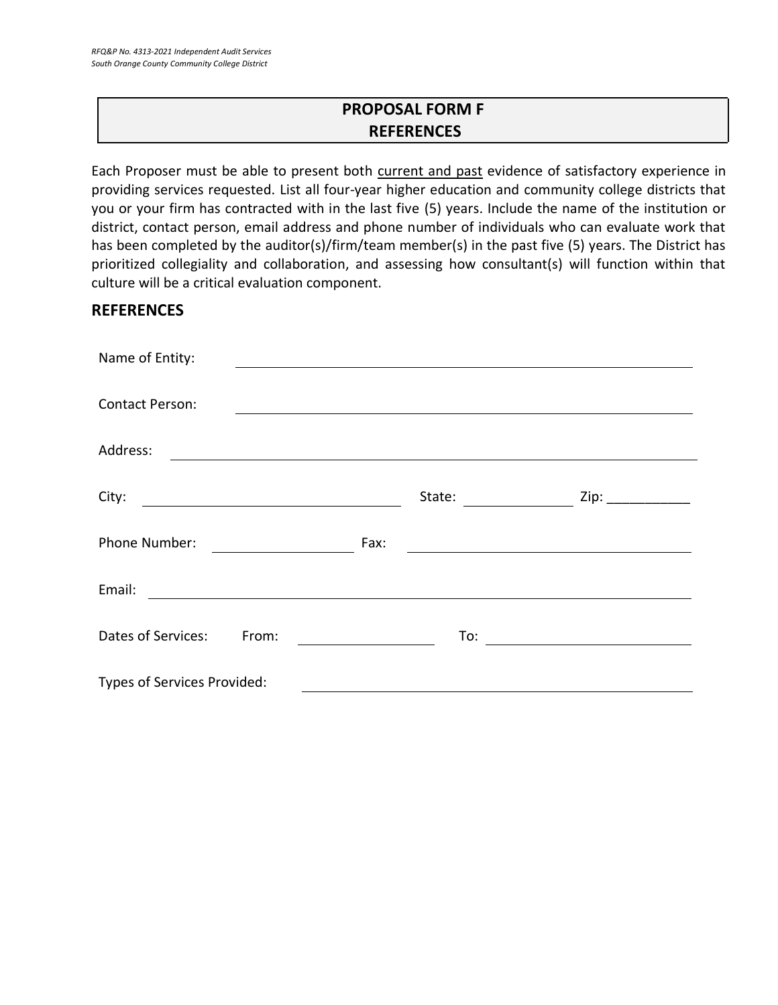# **PROPOSAL FORM F REFERENCES**

Each Proposer must be able to present both current and past evidence of satisfactory experience in providing services requested. List all four-year higher education and community college districts that you or your firm has contracted with in the last five (5) years. Include the name of the institution or district, contact person, email address and phone number of individuals who can evaluate work that has been completed by the auditor(s)/firm/team member(s) in the past five (5) years. The District has prioritized collegiality and collaboration, and assessing how consultant(s) will function within that culture will be a critical evaluation component.

## **REFERENCES**

| Name of Entity:                                                              |                                                                                                                               |                   |
|------------------------------------------------------------------------------|-------------------------------------------------------------------------------------------------------------------------------|-------------------|
| <b>Contact Person:</b>                                                       |                                                                                                                               |                   |
| Address:<br><u> 1989 - Jan James James Barnett, fransk politik (d. 1989)</u> |                                                                                                                               |                   |
| City:                                                                        | State:                                                                                                                        | Zip: ____________ |
| Phone Number:<br><u> The Communication of the Communication</u>              | Fax:<br><u> Alexandria de la contextual de la contextual de la contextual de la contextual de la contextual de la context</u> |                   |
| Email:                                                                       |                                                                                                                               |                   |
| Dates of Services:<br>From:                                                  | To:<br><u> 1989 - Andrea Station Barbara (</u>                                                                                |                   |
| Types of Services Provided:                                                  |                                                                                                                               |                   |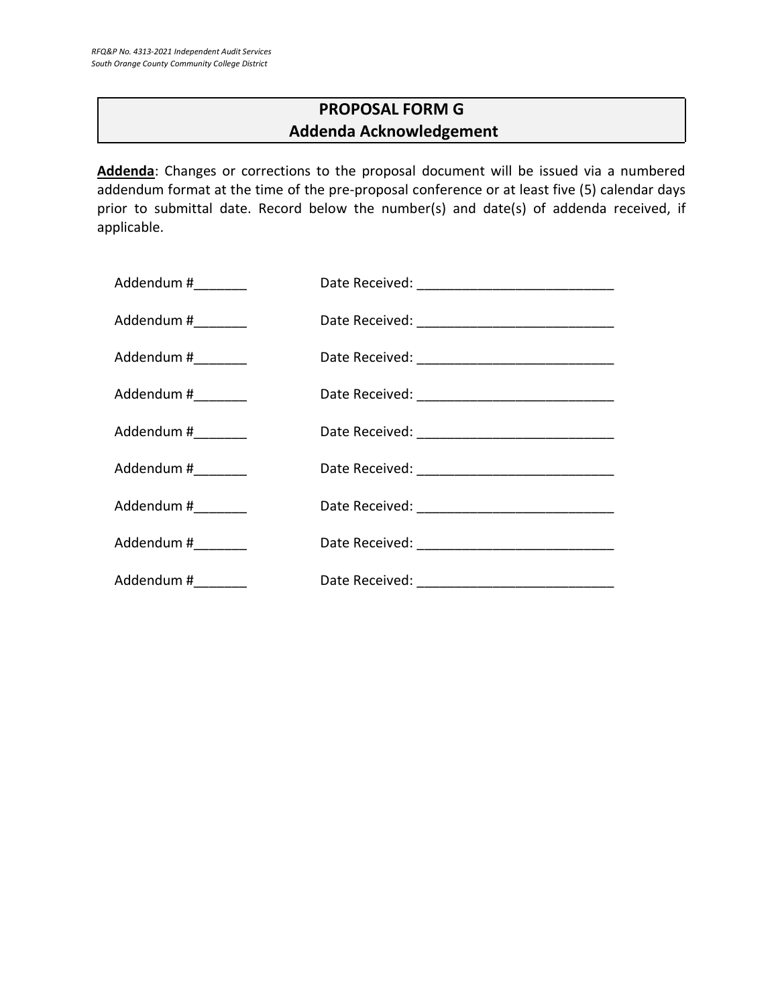# **PROPOSAL FORM G Addenda Acknowledgement**

**Addenda**: Changes or corrections to the proposal document will be issued via a numbered addendum format at the time of the pre-proposal conference or at least five (5) calendar days prior to submittal date. Record below the number(s) and date(s) of addenda received, if applicable.

| Addendum #________  |  |
|---------------------|--|
| Addendum #_________ |  |
| Addendum #________  |  |
| Addendum #_________ |  |
| Addendum #________  |  |
| Addendum #________  |  |
| Addendum #_________ |  |
| Addendum #________  |  |
| Addendum #_________ |  |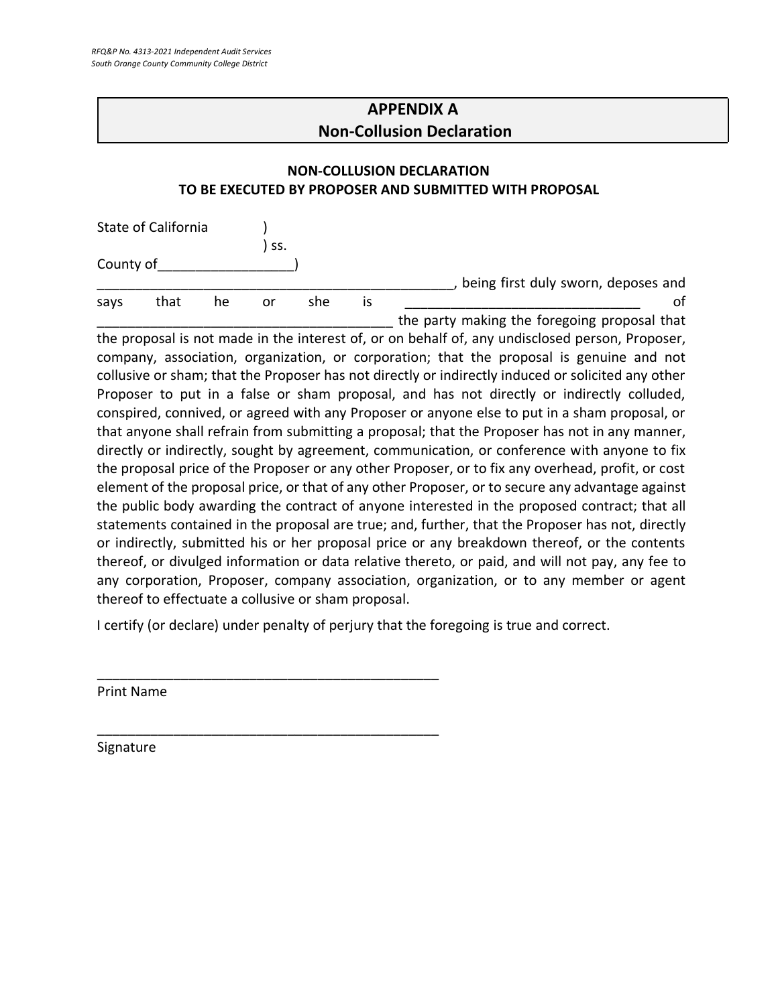# **APPENDIX A Non-Collusion Declaration**

#### **NON-COLLUSION DECLARATION TO BE EXECUTED BY PROPOSER AND SUBMITTED WITH PROPOSAL**

|           | State of California |    |     |     |    |                                              |
|-----------|---------------------|----|-----|-----|----|----------------------------------------------|
|           |                     |    | SS. |     |    |                                              |
| County of |                     |    |     |     |    |                                              |
|           |                     |    |     |     |    | being first duly sworn, deposes and          |
| says      | that                | he | or  | she | IS | οt                                           |
|           |                     |    |     |     |    | the party making the foregoing proposal that |

the proposal is not made in the interest of, or on behalf of, any undisclosed person, Proposer, company, association, organization, or corporation; that the proposal is genuine and not collusive or sham; that the Proposer has not directly or indirectly induced or solicited any other Proposer to put in a false or sham proposal, and has not directly or indirectly colluded, conspired, connived, or agreed with any Proposer or anyone else to put in a sham proposal, or that anyone shall refrain from submitting a proposal; that the Proposer has not in any manner, directly or indirectly, sought by agreement, communication, or conference with anyone to fix the proposal price of the Proposer or any other Proposer, or to fix any overhead, profit, or cost element of the proposal price, or that of any other Proposer, or to secure any advantage against the public body awarding the contract of anyone interested in the proposed contract; that all statements contained in the proposal are true; and, further, that the Proposer has not, directly or indirectly, submitted his or her proposal price or any breakdown thereof, or the contents thereof, or divulged information or data relative thereto, or paid, and will not pay, any fee to any corporation, Proposer, company association, organization, or to any member or agent thereof to effectuate a collusive or sham proposal.

I certify (or declare) under penalty of perjury that the foregoing is true and correct.

\_\_\_\_\_\_\_\_\_\_\_\_\_\_\_\_\_\_\_\_\_\_\_\_\_\_\_\_\_\_\_\_\_\_\_\_\_\_\_\_\_\_\_\_\_

\_\_\_\_\_\_\_\_\_\_\_\_\_\_\_\_\_\_\_\_\_\_\_\_\_\_\_\_\_\_\_\_\_\_\_\_\_\_\_\_\_\_\_\_\_

Print Name

Signature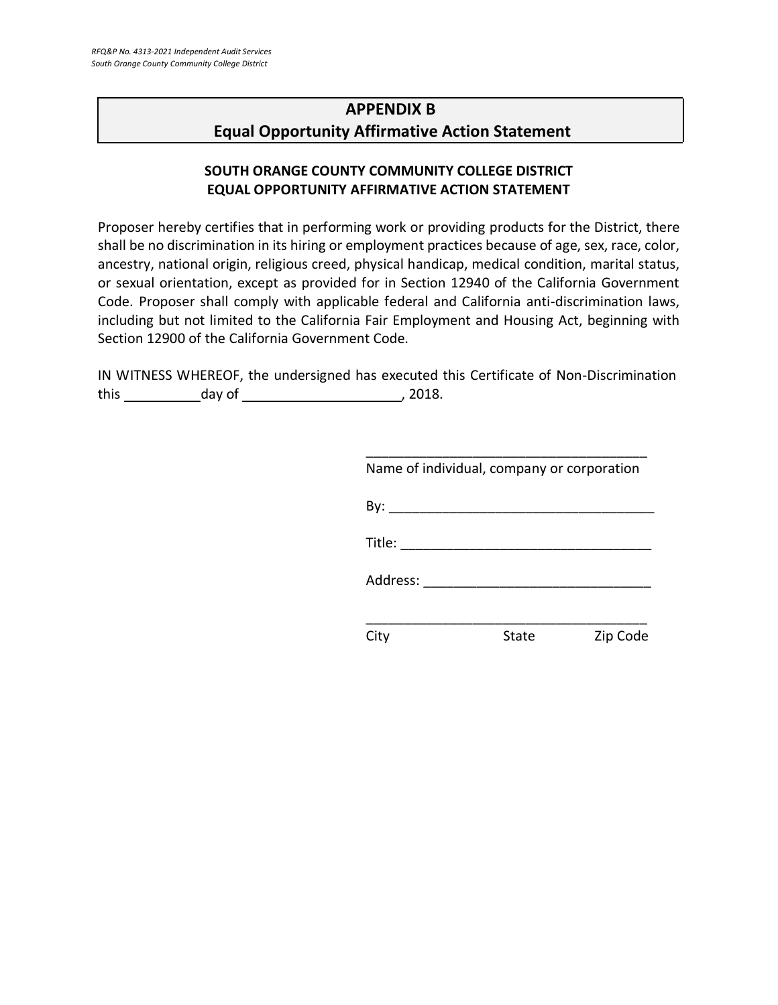# **APPENDIX B Equal Opportunity Affirmative Action Statement**

#### **SOUTH ORANGE COUNTY COMMUNITY COLLEGE DISTRICT EQUAL OPPORTUNITY AFFIRMATIVE ACTION STATEMENT**

Proposer hereby certifies that in performing work or providing products for the District, there shall be no discrimination in its hiring or employment practices because of age, sex, race, color, ancestry, national origin, religious creed, physical handicap, medical condition, marital status, or sexual orientation, except as provided for in Section 12940 of the California Government Code. Proposer shall comply with applicable federal and California anti-discrimination laws, including but not limited to the California Fair Employment and Housing Act, beginning with Section 12900 of the California Government Code.

IN WITNESS WHEREOF, the undersigned has executed this Certificate of Non-Discrimination this day of , 2018.

| Name of individual, company or corporation                                                                                                                                                                                                                                                                                                                                                                   |       |          |
|--------------------------------------------------------------------------------------------------------------------------------------------------------------------------------------------------------------------------------------------------------------------------------------------------------------------------------------------------------------------------------------------------------------|-------|----------|
|                                                                                                                                                                                                                                                                                                                                                                                                              |       |          |
| Title: $\frac{1}{\sqrt{1-\frac{1}{2}}\sqrt{1-\frac{1}{2}}\sqrt{1-\frac{1}{2}}\sqrt{1-\frac{1}{2}}\sqrt{1-\frac{1}{2}}\sqrt{1-\frac{1}{2}}\sqrt{1-\frac{1}{2}}\sqrt{1-\frac{1}{2}}\sqrt{1-\frac{1}{2}}\sqrt{1-\frac{1}{2}}\sqrt{1-\frac{1}{2}}\sqrt{1-\frac{1}{2}}\sqrt{1-\frac{1}{2}}\sqrt{1-\frac{1}{2}}\sqrt{1-\frac{1}{2}}\sqrt{1-\frac{1}{2}}\sqrt{1-\frac{1}{2}}\sqrt{1-\frac{1}{2}}\sqrt{1-\frac{1}{2$ |       |          |
| Address:                                                                                                                                                                                                                                                                                                                                                                                                     |       |          |
|                                                                                                                                                                                                                                                                                                                                                                                                              |       |          |
|                                                                                                                                                                                                                                                                                                                                                                                                              | State | Zip Code |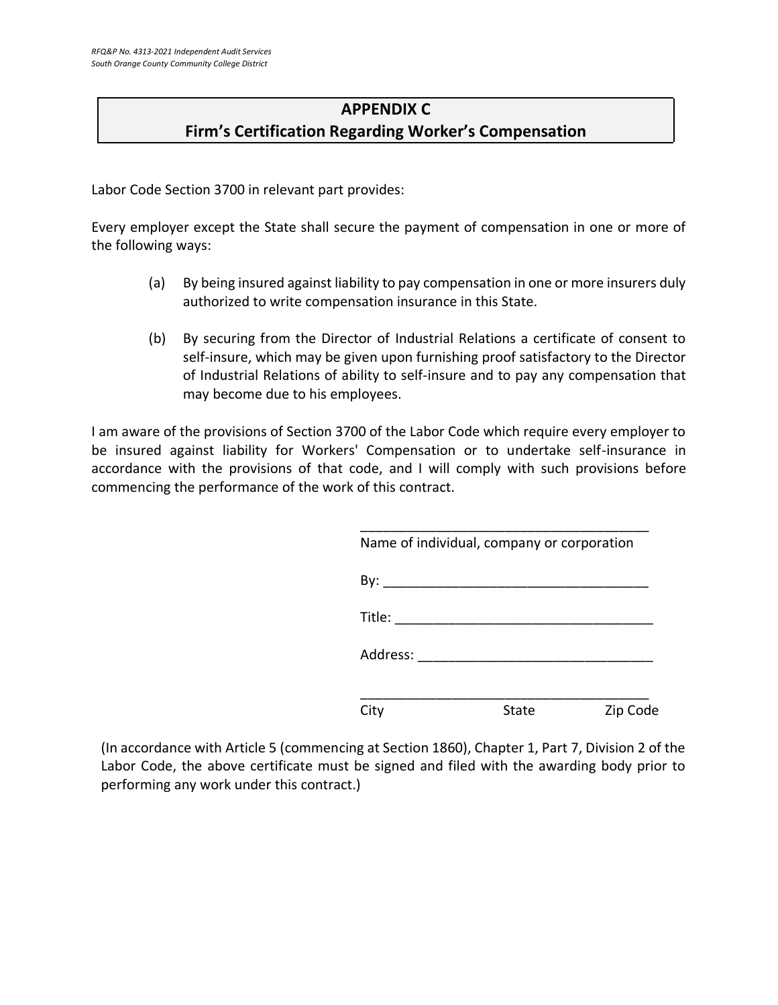# **APPENDIX C Firm's Certification Regarding Worker's Compensation**

Labor Code Section 3700 in relevant part provides:

Every employer except the State shall secure the payment of compensation in one or more of the following ways:

- (a) By being insured against liability to pay compensation in one or more insurers duly authorized to write compensation insurance in this State.
- (b) By securing from the Director of Industrial Relations a certificate of consent to self-insure, which may be given upon furnishing proof satisfactory to the Director of Industrial Relations of ability to self-insure and to pay any compensation that may become due to his employees.

I am aware of the provisions of Section 3700 of the Labor Code which require every employer to be insured against liability for Workers' Compensation or to undertake self-insurance in accordance with the provisions of that code, and I will comply with such provisions before commencing the performance of the work of this contract.

| Name of individual, company or corporation |       |          |
|--------------------------------------------|-------|----------|
| By:                                        |       |          |
| Title:                                     |       |          |
| Address:                                   |       |          |
| City                                       | State | Zip Code |

(In accordance with Article 5 (commencing at Section 1860), Chapter 1, Part 7, Division 2 of the Labor Code, the above certificate must be signed and filed with the awarding body prior to performing any work under this contract.)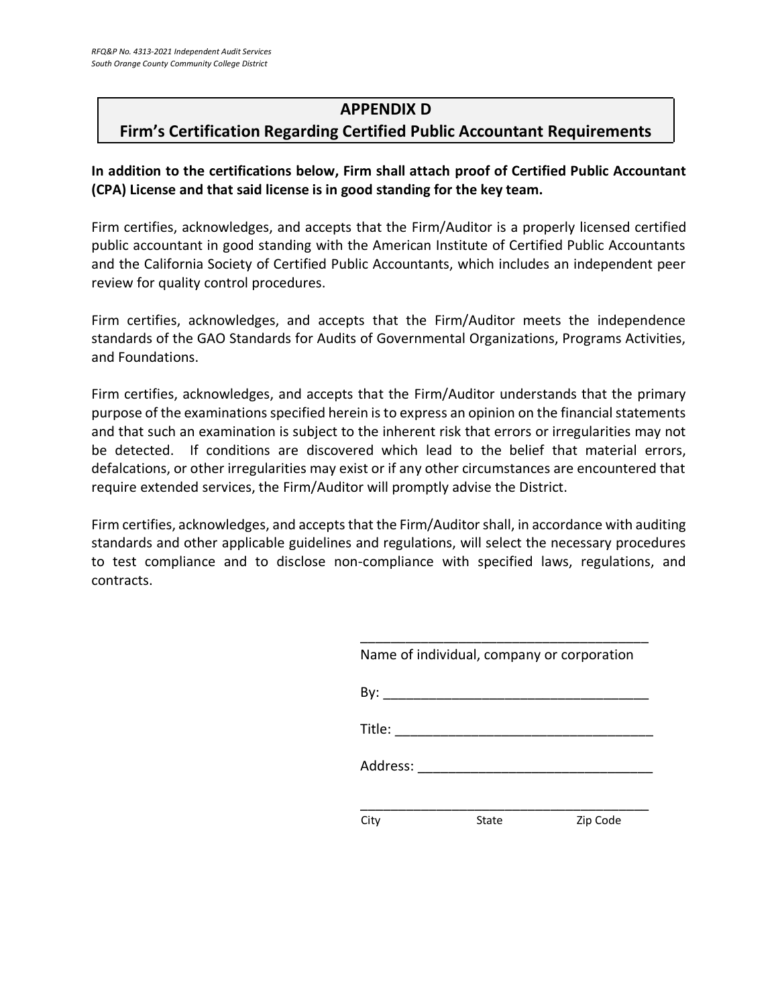### **APPENDIX D**

## **Firm's Certification Regarding Certified Public Accountant Requirements**

**In addition to the certifications below, Firm shall attach proof of Certified Public Accountant (CPA) License and that said license is in good standing for the key team.**

Firm certifies, acknowledges, and accepts that the Firm/Auditor is a properly licensed certified public accountant in good standing with the American Institute of Certified Public Accountants and the California Society of Certified Public Accountants, which includes an independent peer review for quality control procedures.

Firm certifies, acknowledges, and accepts that the Firm/Auditor meets the independence standards of the GAO Standards for Audits of Governmental Organizations, Programs Activities, and Foundations.

Firm certifies, acknowledges, and accepts that the Firm/Auditor understands that the primary purpose of the examinations specified herein is to express an opinion on the financial statements and that such an examination is subject to the inherent risk that errors or irregularities may not be detected. If conditions are discovered which lead to the belief that material errors, defalcations, or other irregularities may exist or if any other circumstances are encountered that require extended services, the Firm/Auditor will promptly advise the District.

Firm certifies, acknowledges, and accepts that the Firm/Auditor shall, in accordance with auditing standards and other applicable guidelines and regulations, will select the necessary procedures to test compliance and to disclose non-compliance with specified laws, regulations, and contracts.

|          | Name of individual, company or corporation |          |
|----------|--------------------------------------------|----------|
| By:      |                                            |          |
| Title:   |                                            |          |
| Address: |                                            |          |
| City     | State                                      | Zip Code |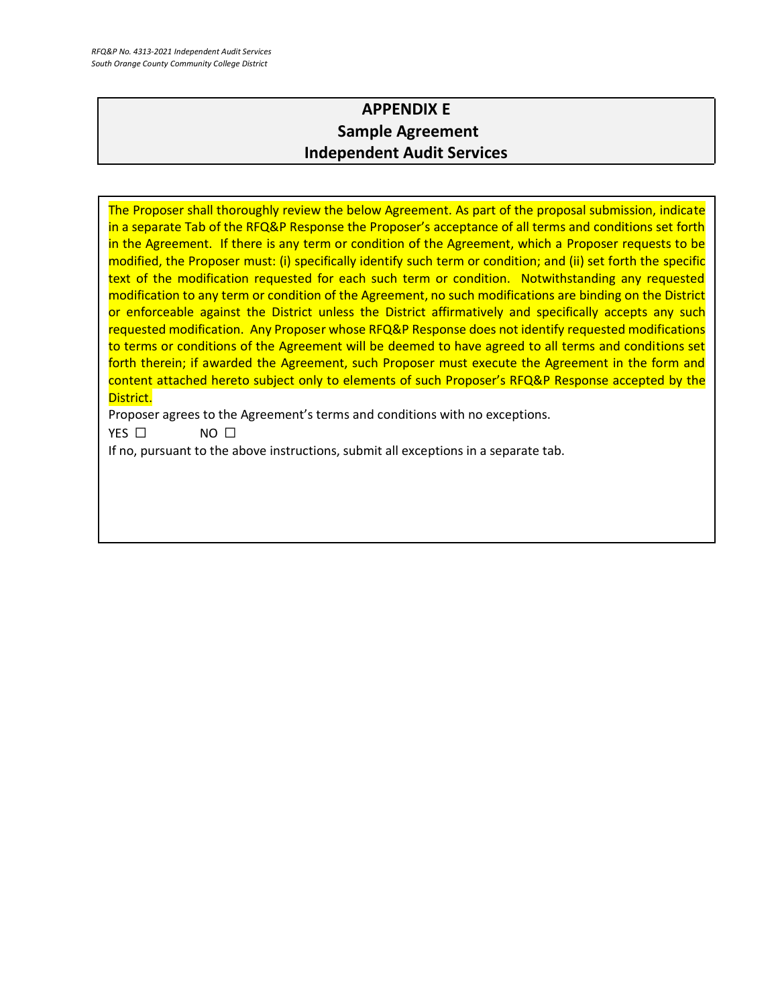# **APPENDIX E Sample Agreement Independent Audit Services**

The Proposer shall thoroughly review the below Agreement. As part of the proposal submission, indicate in a separate Tab of the RFQ&P Response the Proposer's acceptance of all terms and conditions set forth in the Agreement. If there is any term or condition of the Agreement, which a Proposer requests to be modified, the Proposer must: (i) specifically identify such term or condition; and (ii) set forth the specific text of the modification requested for each such term or condition. Notwithstanding any requested modification to any term or condition of the Agreement, no such modifications are binding on the District or enforceable against the District unless the District affirmatively and specifically accepts any such requested modification. Any Proposer whose RFQ&P Response does not identify requested modifications to terms or conditions of the Agreement will be deemed to have agreed to all terms and conditions set forth therein; if awarded the Agreement, such Proposer must execute the Agreement in the form and content attached hereto subject only to elements of such Proposer's RFQ&P Response accepted by the District.

Proposer agrees to the Agreement's terms and conditions with no exceptions.

YES □ NO □

If no, pursuant to the above instructions, submit all exceptions in a separate tab.